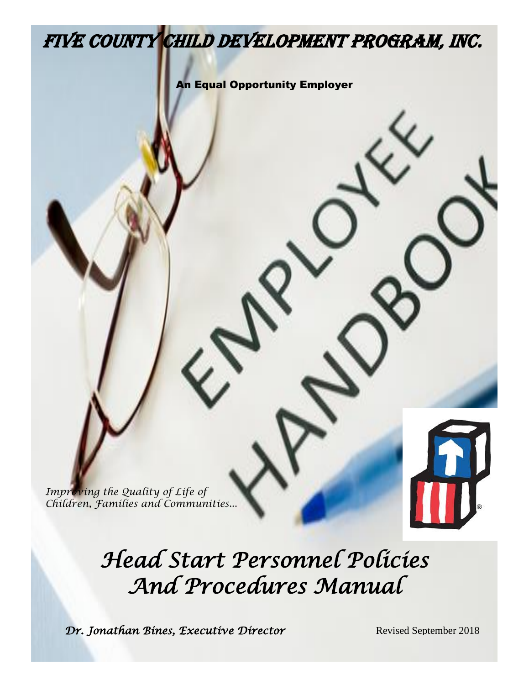# Five county child development program, inc.

An Equal Opportunity Employer

Improving the Quality of Life of *Children, Families and Communities...*

 $\mathcal{V}$ 

*Head Start Personnel Policies And Procedures Manual* 

**Dr. Jonathan Bines, Executive Director** Revised September 2018

 $\sqrt{2}$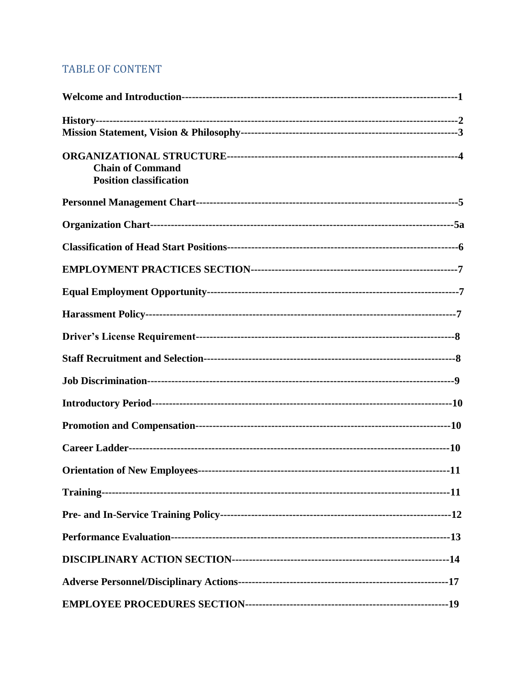# TABLE OF CONTENT

| <b>Chain of Command</b><br><b>Position classification</b> |  |
|-----------------------------------------------------------|--|
|                                                           |  |
|                                                           |  |
|                                                           |  |
|                                                           |  |
|                                                           |  |
|                                                           |  |
|                                                           |  |
|                                                           |  |
|                                                           |  |
|                                                           |  |
|                                                           |  |
|                                                           |  |
|                                                           |  |
|                                                           |  |
|                                                           |  |
|                                                           |  |
|                                                           |  |
|                                                           |  |
|                                                           |  |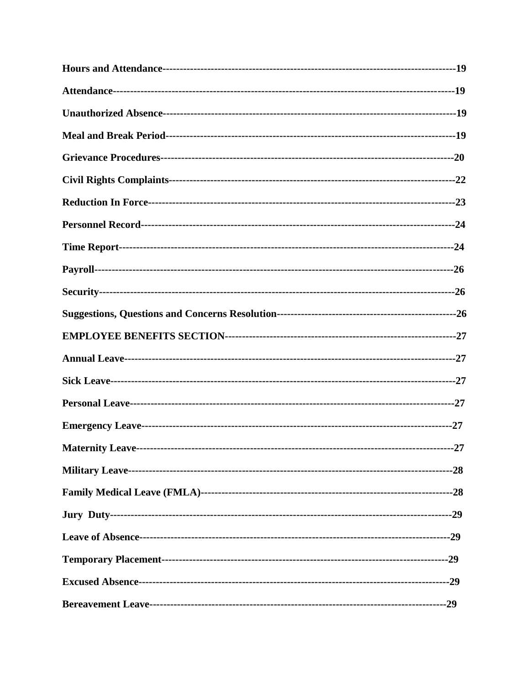| Maternity Leave------------------------ | $-27$ |
|-----------------------------------------|-------|
|                                         |       |
|                                         |       |
|                                         |       |
|                                         |       |
|                                         |       |
|                                         |       |
|                                         |       |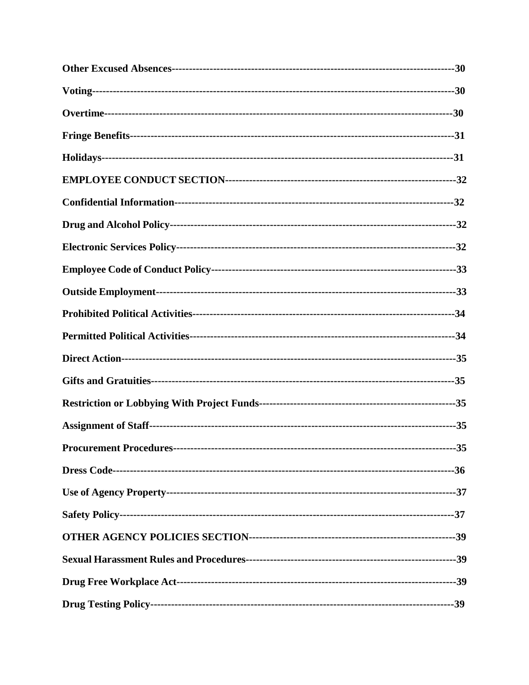| Procurement Procedures------------------------- | $-35$ |
|-------------------------------------------------|-------|
|                                                 |       |
|                                                 |       |
|                                                 |       |
|                                                 |       |
|                                                 |       |
|                                                 |       |
|                                                 |       |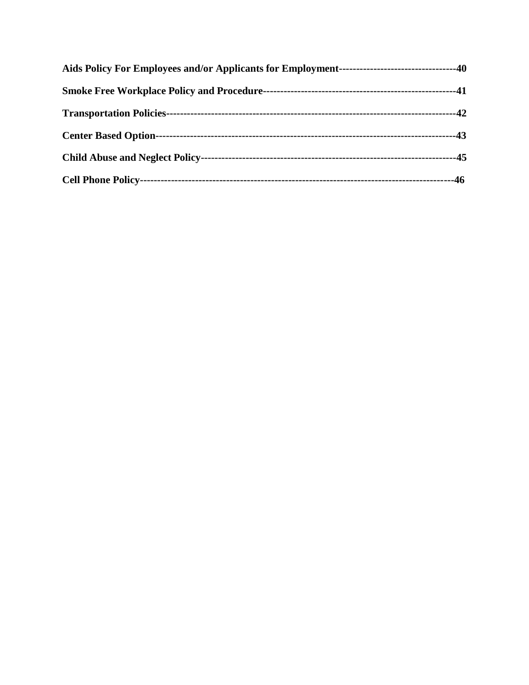| -46 |
|-----|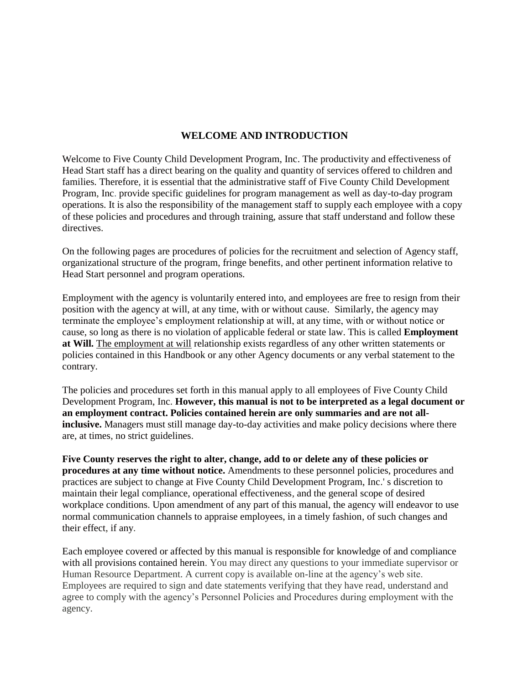# **WELCOME AND INTRODUCTION**

Welcome to Five County Child Development Program, Inc. The productivity and effectiveness of Head Start staff has a direct bearing on the quality and quantity of services offered to children and families. Therefore, it is essential that the administrative staff of Five County Child Development Program, Inc. provide specific guidelines for program management as well as day-to-day program operations. It is also the responsibility of the management staff to supply each employee with a copy of these policies and procedures and through training, assure that staff understand and follow these directives.

On the following pages are procedures of policies for the recruitment and selection of Agency staff, organizational structure of the program, fringe benefits, and other pertinent information relative to Head Start personnel and program operations.

Employment with the agency is voluntarily entered into, and employees are free to resign from their position with the agency at will, at any time, with or without cause. Similarly, the agency may terminate the employee's employment relationship at will, at any time, with or without notice or cause, so long as there is no violation of applicable federal or state law. This is called **Employment at Will.** The employment at will relationship exists regardless of any other written statements or policies contained in this Handbook or any other Agency documents or any verbal statement to the contrary.

The policies and procedures set forth in this manual apply to all employees of Five County Child Development Program, Inc. **However, this manual is not to be interpreted as a legal document or an employment contract. Policies contained herein are only summaries and are not allinclusive.** Managers must still manage day-to-day activities and make policy decisions where there are, at times, no strict guidelines.

Five County reserves the right to alter, change, add to or delete any of these policies or **procedures at any time without notice.** Amendments to these personnel policies, procedures and practices are subject to change at Five County Child Development Program, Inc.' s discretion to maintain their legal compliance, operational effectiveness, and the general scope of desired workplace conditions. Upon amendment of any part of this manual, the agency will endeavor to use normal communication channels to appraise employees, in a timely fashion, of such changes and their effect, if any.

Each employee covered or affected by this manual is responsible for knowledge of and compliance with all provisions contained herein. You may direct any questions to your immediate supervisor or Human Resource Department. A current copy is available on-line at the agency's web site. Employees are required to sign and date statements verifying that they have read, understand and agree to comply with the agency's Personnel Policies and Procedures during employment with the agency.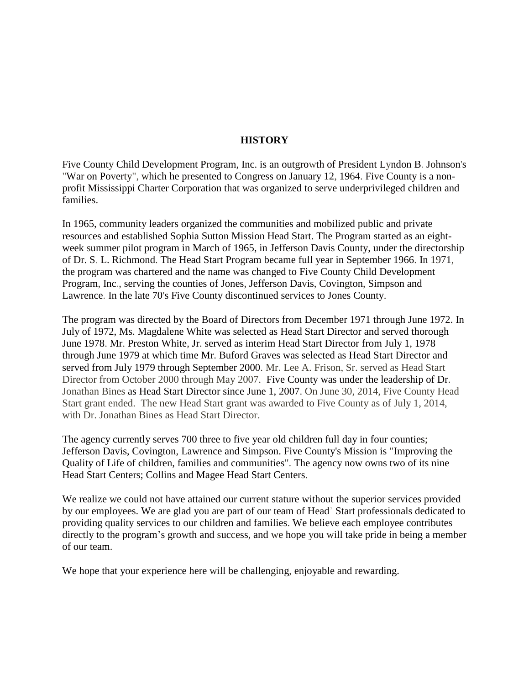# **HISTORY**

Five County Child Development Program, Inc. is an outgrowth of President Lyndon B. Johnson's "War on Poverty", which he presented to Congress on January 12, 1964. Five County is a nonprofit Mississippi Charter Corporation that was organized to serve underprivileged children and families.

In 1965, community leaders organized the communities and mobilized public and private resources and established Sophia Sutton Mission Head Start. The Program started as an eightweek summer pilot program in March of 1965, in Jefferson Davis County, under the directorship of Dr. S. L. Richmond. The Head Start Program became full year in September 1966. In 1971, the program was chartered and the name was changed to Five County Child Development Program, Inc., serving the counties of Jones, Jefferson Davis, Covington, Simpson and Lawrence. In the late 70's Five County discontinued services to Jones County.

The program was directed by the Board of Directors from December 1971 through June 1972. In July of 1972, Ms. Magdalene White was selected as Head Start Director and served thorough June 1978. Mr. Preston White, Jr. served as interim Head Start Director from July 1, 1978 through June 1979 at which time Mr. Buford Graves was selected as Head Start Director and served from July 1979 through September 2000. Mr. Lee A. Frison, Sr. served as Head Start Director from October 2000 through May 2007. Five County was under the leadership of Dr. Jonathan Bines as Head Start Director since June 1, 2007. On June 30, 2014, Five County Head Start grant ended. The new Head Start grant was awarded to Five County as of July 1, 2014, with Dr. Jonathan Bines as Head Start Director.

The agency currently serves 700 three to five year old children full day in four counties; Jefferson Davis, Covington, Lawrence and Simpson. Five County's Mission is "Improving the Quality of Life of children, families and communities". The agency now owns two of its nine Head Start Centers; Collins and Magee Head Start Centers.

We realize we could not have attained our current stature without the superior services provided by our employees. We are glad you are part of our team of Head' Start professionals dedicated to providing quality services to our children and families. We believe each employee contributes directly to the program's growth and success, and we hope you will take pride in being a member of our team.

We hope that your experience here will be challenging, enjoyable and rewarding.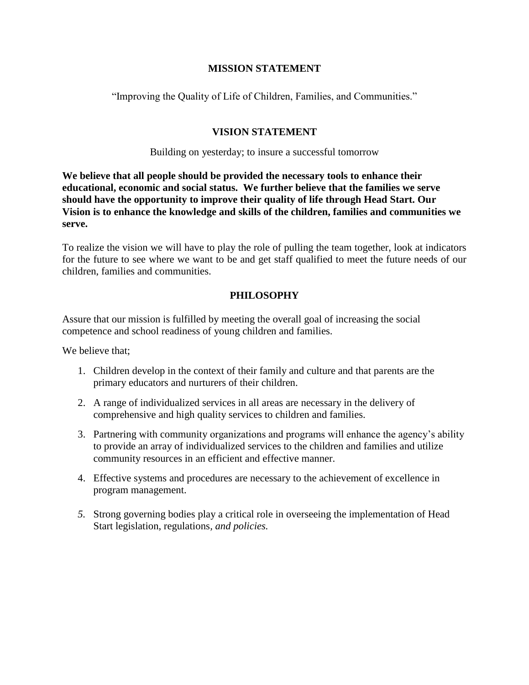# **MISSION STATEMENT**

"Improving the Quality of Life of Children, Families, and Communities."

# **VISION STATEMENT**

Building on yesterday; to insure a successful tomorrow

**We believe that all people should be provided the necessary tools to enhance their educational, economic and social status. We further believe that the families we serve should have the opportunity to improve their quality of life through Head Start. Our Vision is to enhance the knowledge and skills of the children, families and communities we serve.** 

To realize the vision we will have to play the role of pulling the team together, look at indicators for the future to see where we want to be and get staff qualified to meet the future needs of our children, families and communities.

# **PHILOSOPHY**

Assure that our mission is fulfilled by meeting the overall goal of increasing the social competence and school readiness of young children and families.

We believe that:

- 1. Children develop in the context of their family and culture and that parents are the primary educators and nurturers of their children.
- 2. A range of individualized services in all areas are necessary in the delivery of comprehensive and high quality services to children and families.
- 3. Partnering with community organizations and programs will enhance the agency's ability to provide an array of individualized services to the children and families and utilize community resources in an efficient and effective manner.
- 4. Effective systems and procedures are necessary to the achievement of excellence in program management.
- *5.* Strong governing bodies play a critical role in overseeing the implementation of Head Start legislation, regulations*, and policies.*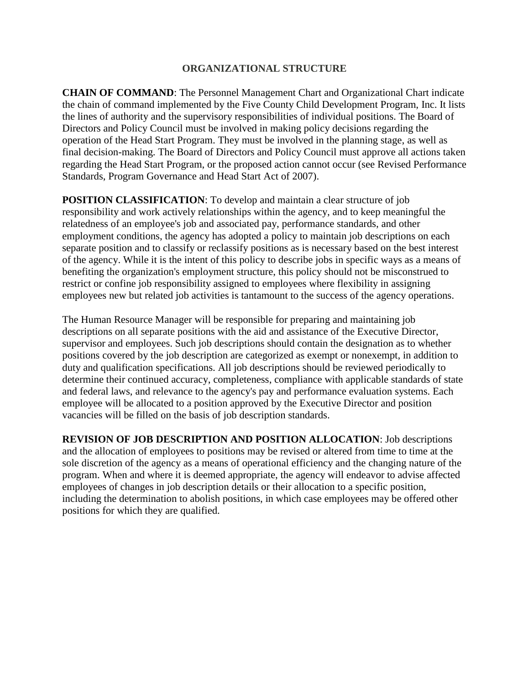# **ORGANIZATIONAL STRUCTURE**

**CHAIN OF COMMAND**: The Personnel Management Chart and Organizational Chart indicate the chain of command implemented by the Five County Child Development Program, Inc. It lists the lines of authority and the supervisory responsibilities of individual positions. The Board of Directors and Policy Council must be involved in making policy decisions regarding the operation of the Head Start Program. They must be involved in the planning stage, as well as final decision-making. The Board of Directors and Policy Council must approve all actions taken regarding the Head Start Program, or the proposed action cannot occur (see Revised Performance Standards, Program Governance and Head Start Act of 2007).

**POSITION CLASSIFICATION**: To develop and maintain a clear structure of job responsibility and work actively relationships within the agency, and to keep meaningful the relatedness of an employee's job and associated pay, performance standards, and other employment conditions, the agency has adopted a policy to maintain job descriptions on each separate position and to classify or reclassify positions as is necessary based on the best interest of the agency. While it is the intent of this policy to describe jobs in specific ways as a means of benefiting the organization's employment structure, this policy should not be misconstrued to restrict or confine job responsibility assigned to employees where flexibility in assigning employees new but related job activities is tantamount to the success of the agency operations.

The Human Resource Manager will be responsible for preparing and maintaining job descriptions on all separate positions with the aid and assistance of the Executive Director, supervisor and employees. Such job descriptions should contain the designation as to whether positions covered by the job description are categorized as exempt or nonexempt, in addition to duty and qualification specifications. All job descriptions should be reviewed periodically to determine their continued accuracy, completeness, compliance with applicable standards of state and federal laws, and relevance to the agency's pay and performance evaluation systems. Each employee will be allocated to a position approved by the Executive Director and position vacancies will be filled on the basis of job description standards.

**REVISION OF JOB DESCRIPTION AND POSITION ALLOCATION**: Job descriptions and the allocation of employees to positions may be revised or altered from time to time at the sole discretion of the agency as a means of operational efficiency and the changing nature of the program. When and where it is deemed appropriate, the agency will endeavor to advise affected employees of changes in job description details or their allocation to a specific position, including the determination to abolish positions, in which case employees may be offered other positions for which they are qualified.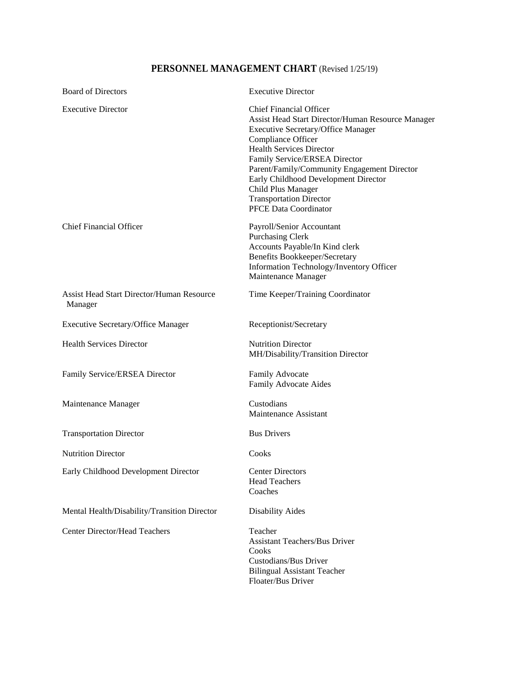# **PERSONNEL MANAGEMENT CHART** (Revised 1/25/19)

| <b>Board of Directors</b>                                   | <b>Executive Director</b>                                                                                                                                                                                                                                                                                                                                                                          |
|-------------------------------------------------------------|----------------------------------------------------------------------------------------------------------------------------------------------------------------------------------------------------------------------------------------------------------------------------------------------------------------------------------------------------------------------------------------------------|
| <b>Executive Director</b>                                   | <b>Chief Financial Officer</b><br>Assist Head Start Director/Human Resource Manager<br><b>Executive Secretary/Office Manager</b><br>Compliance Officer<br><b>Health Services Director</b><br>Family Service/ERSEA Director<br>Parent/Family/Community Engagement Director<br>Early Childhood Development Director<br>Child Plus Manager<br><b>Transportation Director</b><br>PFCE Data Coordinator |
| <b>Chief Financial Officer</b>                              | Payroll/Senior Accountant<br><b>Purchasing Clerk</b><br>Accounts Payable/In Kind clerk<br><b>Benefits Bookkeeper/Secretary</b><br>Information Technology/Inventory Officer<br>Maintenance Manager                                                                                                                                                                                                  |
| <b>Assist Head Start Director/Human Resource</b><br>Manager | Time Keeper/Training Coordinator                                                                                                                                                                                                                                                                                                                                                                   |
| <b>Executive Secretary/Office Manager</b>                   | Receptionist/Secretary                                                                                                                                                                                                                                                                                                                                                                             |
| <b>Health Services Director</b>                             | <b>Nutrition Director</b><br>MH/Disability/Transition Director                                                                                                                                                                                                                                                                                                                                     |
| Family Service/ERSEA Director                               | Family Advocate<br>Family Advocate Aides                                                                                                                                                                                                                                                                                                                                                           |
| Maintenance Manager                                         | Custodians<br>Maintenance Assistant                                                                                                                                                                                                                                                                                                                                                                |
| <b>Transportation Director</b>                              | <b>Bus Drivers</b>                                                                                                                                                                                                                                                                                                                                                                                 |
| <b>Nutrition Director</b>                                   | Cooks                                                                                                                                                                                                                                                                                                                                                                                              |
| Early Childhood Development Director                        | <b>Center Directors</b><br><b>Head Teachers</b><br>Coaches                                                                                                                                                                                                                                                                                                                                         |
| Mental Health/Disability/Transition Director                | <b>Disability Aides</b>                                                                                                                                                                                                                                                                                                                                                                            |
| <b>Center Director/Head Teachers</b>                        | Teacher<br><b>Assistant Teachers/Bus Driver</b><br>Cooks<br>Custodians/Bus Driver<br><b>Bilingual Assistant Teacher</b><br>Floater/Bus Driver                                                                                                                                                                                                                                                      |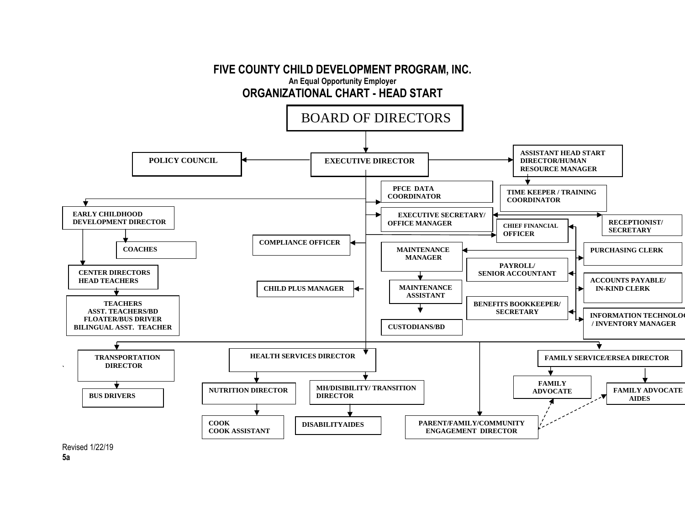

**5a**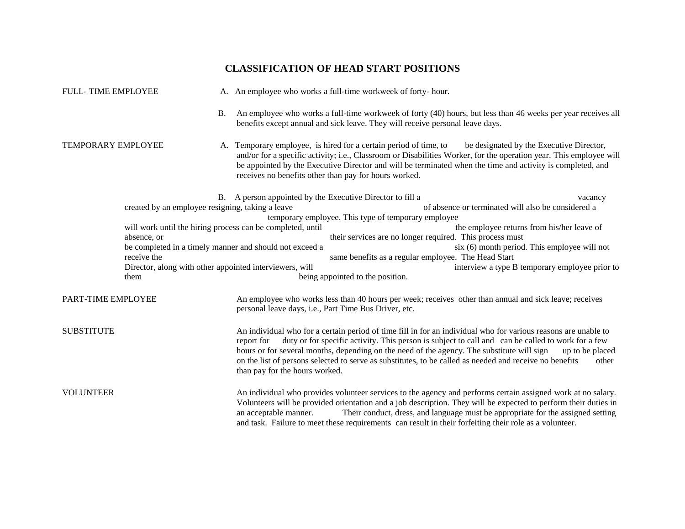# **CLASSIFICATION OF HEAD START POSITIONS**

| <b>FULL-TIME EMPLOYEE</b> |                                                                                |           | A. An employee who works a full-time workweek of forty-hour.                                                                                                                                                                                                                                                                                                                                                                                                                                             |  |
|---------------------------|--------------------------------------------------------------------------------|-----------|----------------------------------------------------------------------------------------------------------------------------------------------------------------------------------------------------------------------------------------------------------------------------------------------------------------------------------------------------------------------------------------------------------------------------------------------------------------------------------------------------------|--|
|                           |                                                                                | <b>B.</b> | An employee who works a full-time workweek of forty (40) hours, but less than 46 weeks per year receives all<br>benefits except annual and sick leave. They will receive personal leave days.                                                                                                                                                                                                                                                                                                            |  |
| TEMPORARY EMPLOYEE        |                                                                                |           | A. Temporary employee, is hired for a certain period of time, to<br>be designated by the Executive Director,<br>and/or for a specific activity; i.e., Classroom or Disabilities Worker, for the operation year. This employee will<br>be appointed by the Executive Director and will be terminated when the time and activity is completed, and<br>receives no benefits other than pay for hours worked.                                                                                                |  |
|                           | created by an employee resigning, taking a leave                               |           | B. A person appointed by the Executive Director to fill a<br>vacancy<br>of absence or terminated will also be considered a<br>temporary employee. This type of temporary employee                                                                                                                                                                                                                                                                                                                        |  |
|                           | absence, or                                                                    |           | will work until the hiring process can be completed, until<br>the employee returns from his/her leave of<br>their services are no longer required. This process must<br>be completed in a timely manner and should not exceed a<br>six (6) month period. This employee will not                                                                                                                                                                                                                          |  |
|                           | receive the<br>Director, along with other appointed interviewers, will<br>them |           | same benefits as a regular employee. The Head Start<br>interview a type B temporary employee prior to<br>being appointed to the position.                                                                                                                                                                                                                                                                                                                                                                |  |
| PART-TIME EMPLOYEE        |                                                                                |           | An employee who works less than 40 hours per week; receives other than annual and sick leave; receives<br>personal leave days, i.e., Part Time Bus Driver, etc.                                                                                                                                                                                                                                                                                                                                          |  |
| <b>SUBSTITUTE</b>         |                                                                                |           | An individual who for a certain period of time fill in for an individual who for various reasons are unable to<br>duty or for specific activity. This person is subject to call and can be called to work for a few<br>report for<br>hours or for several months, depending on the need of the agency. The substitute will sign<br>up to be placed<br>on the list of persons selected to serve as substitutes, to be called as needed and receive no benefits<br>other<br>than pay for the hours worked. |  |
| <b>VOLUNTEER</b>          |                                                                                |           | An individual who provides volunteer services to the agency and performs certain assigned work at no salary.<br>Volunteers will be provided orientation and a job description. They will be expected to perform their duties in<br>Their conduct, dress, and language must be appropriate for the assigned setting<br>an acceptable manner.<br>and task. Failure to meet these requirements can result in their forfeiting their role as a volunteer.                                                    |  |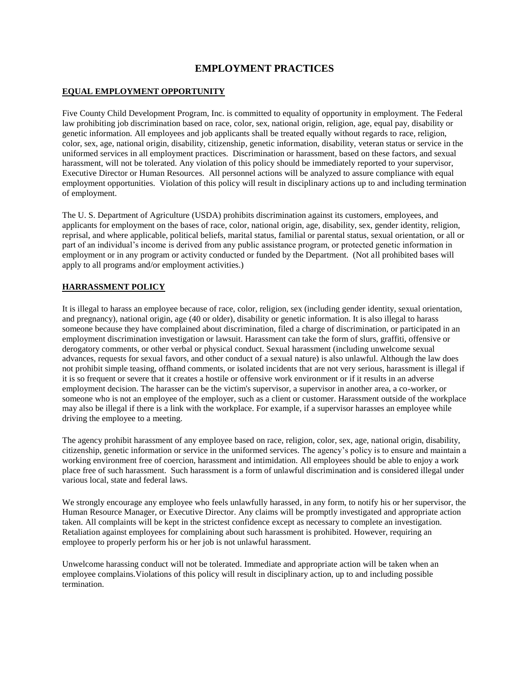# **EMPLOYMENT PRACTICES**

# **EQUAL EMPLOYMENT OPPORTUNITY**

Five County Child Development Program, Inc. is committed to equality of opportunity in employment. The Federal law prohibiting job discrimination based on race, color, sex, national origin, religion, age, equal pay, disability or genetic information. All employees and job applicants shall be treated equally without regards to race, religion, color, sex, age, national origin, disability, citizenship, genetic information, disability, veteran status or service in the uniformed services in all employment practices. Discrimination or harassment, based on these factors, and sexual harassment, will not be tolerated. Any violation of this policy should be immediately reported to your supervisor, Executive Director or Human Resources. All personnel actions will be analyzed to assure compliance with equal employment opportunities. Violation of this policy will result in disciplinary actions up to and including termination of employment.

The U. S. Department of Agriculture (USDA) prohibits discrimination against its customers, employees, and applicants for employment on the bases of race, color, national origin, age, disability, sex, gender identity, religion, reprisal, and where applicable, political beliefs, marital status, familial or parental status, sexual orientation, or all or part of an individual's income is derived from any public assistance program, or protected genetic information in employment or in any program or activity conducted or funded by the Department. (Not all prohibited bases will apply to all programs and/or employment activities.)

# **HARRASSMENT POLICY**

It is illegal to harass an employee because of race, color, religion, sex (including gender identity, sexual orientation, and pregnancy), national origin, age (40 or older), disability or genetic information. It is also illegal to harass someone because they have complained about discrimination, filed a charge of discrimination, or participated in an employment discrimination investigation or lawsuit. Harassment can take the form of slurs, graffiti, offensive or derogatory comments, or other verbal or physical conduct. Sexual harassment (including unwelcome sexual advances, requests for sexual favors, and other conduct of a sexual nature) is also unlawful. Although the law does not prohibit simple teasing, offhand comments, or isolated incidents that are not very serious, harassment is illegal if it is so frequent or severe that it creates a hostile or offensive work environment or if it results in an adverse employment decision. The harasser can be the victim's supervisor, a supervisor in another area, a co-worker, or someone who is not an employee of the employer, such as a client or customer. Harassment outside of the workplace may also be illegal if there is a link with the workplace. For example, if a supervisor harasses an employee while driving the employee to a meeting.

The agency prohibit harassment of any employee based on race, religion, color, sex, age, national origin, disability, citizenship, genetic information or service in the uniformed services. The agency's policy is to ensure and maintain a working environment free of coercion, harassment and intimidation. All employees should be able to enjoy a work place free of such harassment. Such harassment is a form of unlawful discrimination and is considered illegal under various local, state and federal laws.

We strongly encourage any employee who feels unlawfully harassed, in any form, to notify his or her supervisor, the Human Resource Manager, or Executive Director. Any claims will be promptly investigated and appropriate action taken. All complaints will be kept in the strictest confidence except as necessary to complete an investigation. Retaliation against employees for complaining about such harassment is prohibited. However, requiring an employee to properly perform his or her job is not unlawful harassment.

Unwelcome harassing conduct will not be tolerated. Immediate and appropriate action will be taken when an employee complains.Violations of this policy will result in disciplinary action, up to and including possible termination.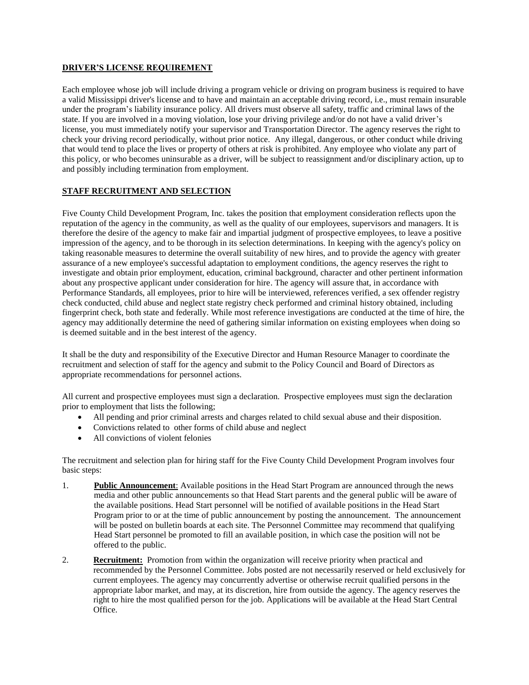# **DRIVER'S LICENSE REQUIREMENT**

Each employee whose job will include driving a program vehicle or driving on program business is required to have a valid Mississippi driver's license and to have and maintain an acceptable driving record, i.e., must remain insurable under the program's liability insurance policy. All drivers must observe all safety, traffic and criminal laws of the state. If you are involved in a moving violation, lose your driving privilege and/or do not have a valid driver's license, you must immediately notify your supervisor and Transportation Director. The agency reserves the right to check your driving record periodically, without prior notice. Any illegal, dangerous, or other conduct while driving that would tend to place the lives or property of others at risk is prohibited. Any employee who violate any part of this policy, or who becomes uninsurable as a driver, will be subject to reassignment and/or disciplinary action, up to and possibly including termination from employment.

# **STAFF RECRUITMENT AND SELECTION**

Five County Child Development Program, Inc. takes the position that employment consideration reflects upon the reputation of the agency in the community, as well as the quality of our employees, supervisors and managers. It is therefore the desire of the agency to make fair and impartial judgment of prospective employees, to leave a positive impression of the agency, and to be thorough in its selection determinations. In keeping with the agency's policy on taking reasonable measures to determine the overall suitability of new hires, and to provide the agency with greater assurance of a new employee's successful adaptation to employment conditions, the agency reserves the right to investigate and obtain prior employment, education, criminal background, character and other pertinent information about any prospective applicant under consideration for hire. The agency will assure that, in accordance with Performance Standards, all employees, prior to hire will be interviewed, references verified, a sex offender registry check conducted, child abuse and neglect state registry check performed and criminal history obtained, including fingerprint check, both state and federally. While most reference investigations are conducted at the time of hire, the agency may additionally determine the need of gathering similar information on existing employees when doing so is deemed suitable and in the best interest of the agency.

It shall be the duty and responsibility of the Executive Director and Human Resource Manager to coordinate the recruitment and selection of staff for the agency and submit to the Policy Council and Board of Directors as appropriate recommendations for personnel actions.

All current and prospective employees must sign a declaration. Prospective employees must sign the declaration prior to employment that lists the following;

- All pending and prior criminal arrests and charges related to child sexual abuse and their disposition.
- Convictions related to other forms of child abuse and neglect
- All convictions of violent felonies

The recruitment and selection plan for hiring staff for the Five County Child Development Program involves four basic steps:

- 1. **Public Announcement**: Available positions in the Head Start Program are announced through the news media and other public announcements so that Head Start parents and the general public will be aware of the available positions. Head Start personnel will be notified of available positions in the Head Start Program prior to or at the time of public announcement by posting the announcement. The announcement will be posted on bulletin boards at each site. The Personnel Committee may recommend that qualifying Head Start personnel be promoted to fill an available position, in which case the position will not be offered to the public.
- 2. **Recruitment:** Promotion from within the organization will receive priority when practical and recommended by the Personnel Committee. Jobs posted are not necessarily reserved or held exclusively for current employees. The agency may concurrently advertise or otherwise recruit qualified persons in the appropriate labor market, and may, at its discretion, hire from outside the agency. The agency reserves the right to hire the most qualified person for the job. Applications will be available at the Head Start Central Office.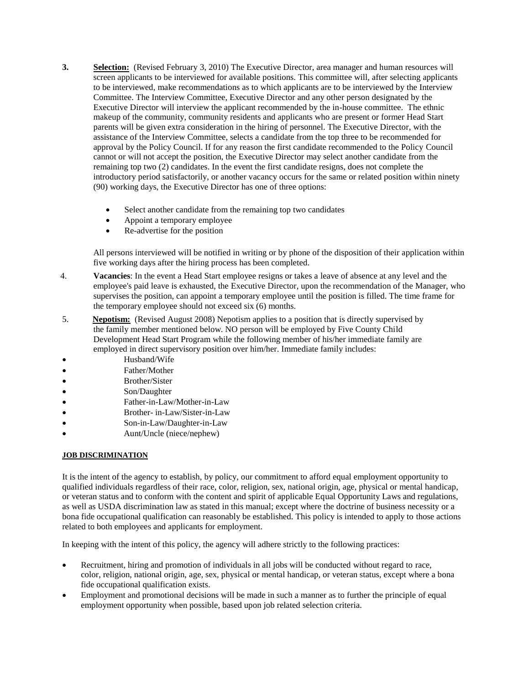- **3. Selection:** (Revised February 3, 2010) The Executive Director, area manager and human resources will screen applicants to be interviewed for available positions. This committee will, after selecting applicants to be interviewed, make recommendations as to which applicants are to be interviewed by the Interview Committee. The Interview Committee, Executive Director and any other person designated by the Executive Director will interview the applicant recommended by the in-house committee. The ethnic makeup of the community, community residents and applicants who are present or former Head Start parents will be given extra consideration in the hiring of personnel. The Executive Director, with the assistance of the Interview Committee, selects a candidate from the top three to be recommended for approval by the Policy Council. If for any reason the first candidate recommended to the Policy Council cannot or will not accept the position, the Executive Director may select another candidate from the remaining top two (2) candidates. In the event the first candidate resigns, does not complete the introductory period satisfactorily, or another vacancy occurs for the same or related position within ninety (90) working days, the Executive Director has one of three options:
	- Select another candidate from the remaining top two candidates
	- Appoint a temporary employee
	- Re-advertise for the position

All persons interviewed will be notified in writing or by phone of the disposition of their application within five working days after the hiring process has been completed.

- 4. **Vacancies**: In the event a Head Start employee resigns or takes a leave of absence at any level and the employee's paid leave is exhausted, the Executive Director, upon the recommendation of the Manager, who supervises the position, can appoint a temporary employee until the position is filled. The time frame for the temporary employee should not exceed six (6) months.
- 5. **Nepotism:** (Revised August 2008) Nepotism applies to a position that is directly supervised by the family member mentioned below. NO person will be employed by Five County Child Development Head Start Program while the following member of his/her immediate family are employed in direct supervisory position over him/her. Immediate family includes:
- Husband/Wife
- Father/Mother
- Brother/Sister
- Son/Daughter
- Father-in-Law/Mother-in-Law
- Brother- in-Law/Sister-in-Law
- Son-in-Law/Daughter-in-Law
- Aunt/Uncle (niece/nephew)

# **JOB DISCRIMINATION**

It is the intent of the agency to establish, by policy, our commitment to afford equal employment opportunity to qualified individuals regardless of their race, color, religion, sex, national origin, age, physical or mental handicap, or veteran status and to conform with the content and spirit of applicable Equal Opportunity Laws and regulations, as well as USDA discrimination law as stated in this manual; except where the doctrine of business necessity or a bona fide occupational qualification can reasonably be established. This policy is intended to apply to those actions related to both employees and applicants for employment.

In keeping with the intent of this policy, the agency will adhere strictly to the following practices:

- Recruitment, hiring and promotion of individuals in all jobs will be conducted without regard to race, color, religion, national origin, age, sex, physical or mental handicap, or veteran status, except where a bona fide occupational qualification exists.
- Employment and promotional decisions will be made in such a manner as to further the principle of equal employment opportunity when possible, based upon job related selection criteria.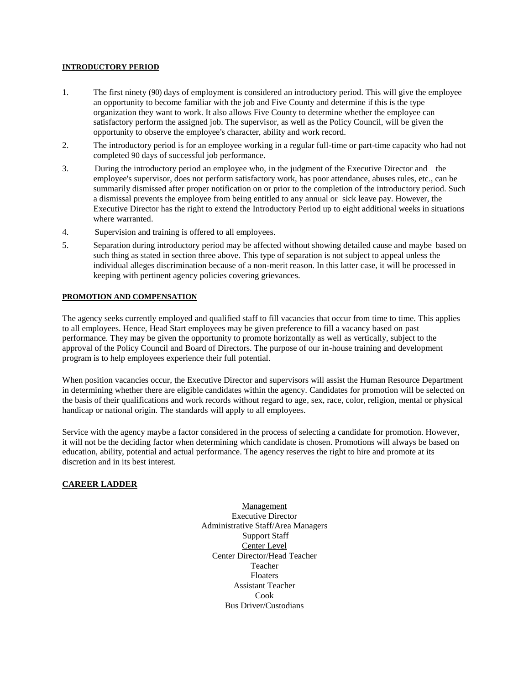#### **INTRODUCTORY PERIOD**

- 1. The first ninety (90) days of employment is considered an introductory period. This will give the employee an opportunity to become familiar with the job and Five County and determine if this is the type organization they want to work. It also allows Five County to determine whether the employee can satisfactory perform the assigned job. The supervisor, as well as the Policy Council, will be given the opportunity to observe the employee's character, ability and work record.
- 2. The introductory period is for an employee working in a regular full-time or part-time capacity who had not completed 90 days of successful job performance.
- 3. During the introductory period an employee who, in the judgment of the Executive Director and the employee's supervisor, does not perform satisfactory work, has poor attendance, abuses rules, etc., can be summarily dismissed after proper notification on or prior to the completion of the introductory period. Such a dismissal prevents the employee from being entitled to any annual or sick leave pay. However, the Executive Director has the right to extend the Introductory Period up to eight additional weeks in situations where warranted.
- 4. Supervision and training is offered to all employees.
- 5. Separation during introductory period may be affected without showing detailed cause and maybe based on such thing as stated in section three above. This type of separation is not subject to appeal unless the individual alleges discrimination because of a non-merit reason. In this latter case, it will be processed in keeping with pertinent agency policies covering grievances.

#### **PROMOTION AND COMPENSATION**

The agency seeks currently employed and qualified staff to fill vacancies that occur from time to time. This applies to all employees. Hence, Head Start employees may be given preference to fill a vacancy based on past performance. They may be given the opportunity to promote horizontally as well as vertically, subject to the approval of the Policy Council and Board of Directors. The purpose of our in-house training and development program is to help employees experience their full potential.

When position vacancies occur, the Executive Director and supervisors will assist the Human Resource Department in determining whether there are eligible candidates within the agency. Candidates for promotion will be selected on the basis of their qualifications and work records without regard to age, sex, race, color, religion, mental or physical handicap or national origin. The standards will apply to all employees.

Service with the agency maybe a factor considered in the process of selecting a candidate for promotion. However, it will not be the deciding factor when determining which candidate is chosen. Promotions will always be based on education, ability, potential and actual performance. The agency reserves the right to hire and promote at its discretion and in its best interest.

# **CAREER LADDER**

Management Executive Director Administrative Staff/Area Managers Support Staff Center Level Center Director/Head Teacher Teacher Floaters Assistant Teacher Cook Bus Driver/Custodians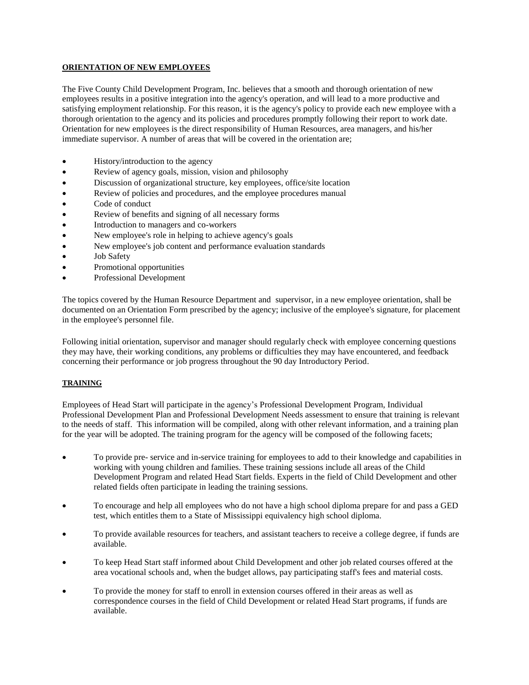## **ORIENTATION OF NEW EMPLOYEES**

The Five County Child Development Program, Inc. believes that a smooth and thorough orientation of new employees results in a positive integration into the agency's operation, and will lead to a more productive and satisfying employment relationship. For this reason, it is the agency's policy to provide each new employee with a thorough orientation to the agency and its policies and procedures promptly following their report to work date. Orientation for new employees is the direct responsibility of Human Resources, area managers, and his/her immediate supervisor. A number of areas that will be covered in the orientation are;

- History/introduction to the agency
- Review of agency goals, mission, vision and philosophy
- Discussion of organizational structure, key employees, office/site location
- Review of policies and procedures, and the employee procedures manual
- Code of conduct
- Review of benefits and signing of all necessary forms
- Introduction to managers and co-workers
- New employee's role in helping to achieve agency's goals
- New employee's job content and performance evaluation standards
- Job Safety
- Promotional opportunities
- Professional Development

The topics covered by the Human Resource Department and supervisor, in a new employee orientation, shall be documented on an Orientation Form prescribed by the agency; inclusive of the employee's signature, for placement in the employee's personnel file.

Following initial orientation, supervisor and manager should regularly check with employee concerning questions they may have, their working conditions, any problems or difficulties they may have encountered, and feedback concerning their performance or job progress throughout the 90 day Introductory Period.

# **TRAINING**

Employees of Head Start will participate in the agency's Professional Development Program, Individual Professional Development Plan and Professional Development Needs assessment to ensure that training is relevant to the needs of staff. This information will be compiled, along with other relevant information, and a training plan for the year will be adopted. The training program for the agency will be composed of the following facets;

- To provide pre- service and in-service training for employees to add to their knowledge and capabilities in working with young children and families. These training sessions include all areas of the Child Development Program and related Head Start fields. Experts in the field of Child Development and other related fields often participate in leading the training sessions.
- To encourage and help all employees who do not have a high school diploma prepare for and pass a GED test, which entitles them to a State of Mississippi equivalency high school diploma.
- To provide available resources for teachers, and assistant teachers to receive a college degree, if funds are available.
- To keep Head Start staff informed about Child Development and other job related courses offered at the area vocational schools and, when the budget allows, pay participating staff's fees and material costs.
- To provide the money for staff to enroll in extension courses offered in their areas as well as correspondence courses in the field of Child Development or related Head Start programs, if funds are available.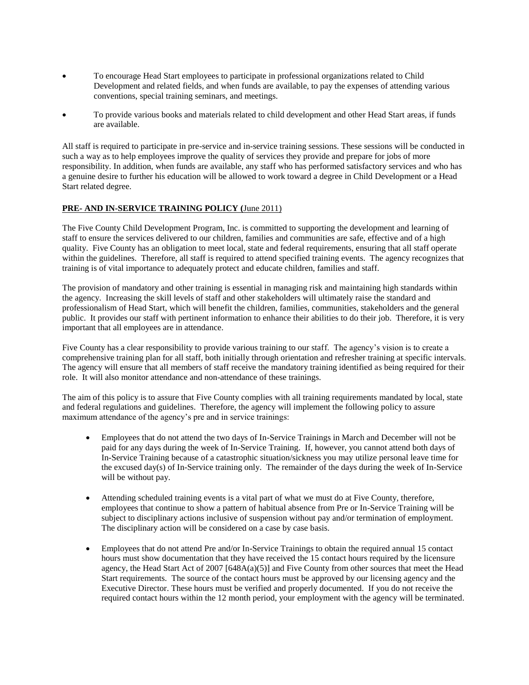- To encourage Head Start employees to participate in professional organizations related to Child Development and related fields, and when funds are available, to pay the expenses of attending various conventions, special training seminars, and meetings.
- To provide various books and materials related to child development and other Head Start areas, if funds are available.

All staff is required to participate in pre-service and in-service training sessions. These sessions will be conducted in such a way as to help employees improve the quality of services they provide and prepare for jobs of more responsibility. In addition, when funds are available, any staff who has performed satisfactory services and who has a genuine desire to further his education will be allowed to work toward a degree in Child Development or a Head Start related degree.

# **PRE- AND IN-SERVICE TRAINING POLICY (**June 2011)

The Five County Child Development Program, Inc. is committed to supporting the development and learning of staff to ensure the services delivered to our children, families and communities are safe, effective and of a high quality. Five County has an obligation to meet local, state and federal requirements, ensuring that all staff operate within the guidelines. Therefore, all staff is required to attend specified training events. The agency recognizes that training is of vital importance to adequately protect and educate children, families and staff.

The provision of mandatory and other training is essential in managing risk and maintaining high standards within the agency. Increasing the skill levels of staff and other stakeholders will ultimately raise the standard and professionalism of Head Start, which will benefit the children, families, communities, stakeholders and the general public. It provides our staff with pertinent information to enhance their abilities to do their job. Therefore, it is very important that all employees are in attendance.

Five County has a clear responsibility to provide various training to our staff. The agency's vision is to create a comprehensive training plan for all staff, both initially through orientation and refresher training at specific intervals. The agency will ensure that all members of staff receive the mandatory training identified as being required for their role. It will also monitor attendance and non-attendance of these trainings.

The aim of this policy is to assure that Five County complies with all training requirements mandated by local, state and federal regulations and guidelines. Therefore, the agency will implement the following policy to assure maximum attendance of the agency's pre and in service trainings:

- Employees that do not attend the two days of In-Service Trainings in March and December will not be paid for any days during the week of In-Service Training. If, however, you cannot attend both days of In-Service Training because of a catastrophic situation/sickness you may utilize personal leave time for the excused day(s) of In-Service training only. The remainder of the days during the week of In-Service will be without pay.
- Attending scheduled training events is a vital part of what we must do at Five County, therefore, employees that continue to show a pattern of habitual absence from Pre or In-Service Training will be subject to disciplinary actions inclusive of suspension without pay and/or termination of employment. The disciplinary action will be considered on a case by case basis.
- Employees that do not attend Pre and/or In-Service Trainings to obtain the required annual 15 contact hours must show documentation that they have received the 15 contact hours required by the licensure agency, the Head Start Act of 2007 [648A(a)(5)] and Five County from other sources that meet the Head Start requirements. The source of the contact hours must be approved by our licensing agency and the Executive Director. These hours must be verified and properly documented. If you do not receive the required contact hours within the 12 month period, your employment with the agency will be terminated.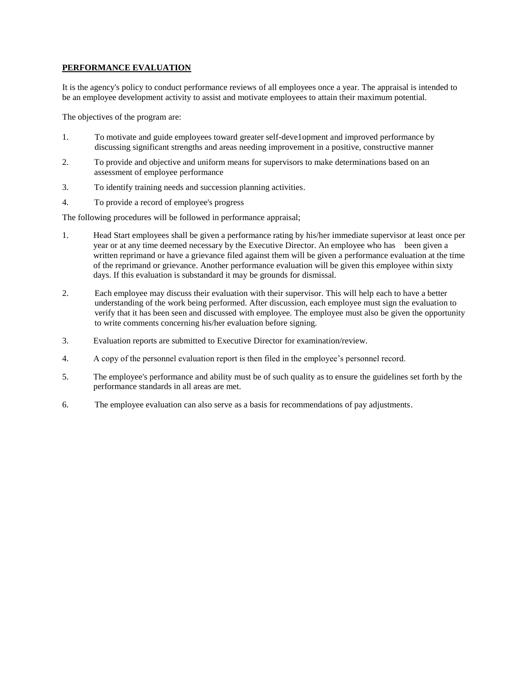# **PERFORMANCE EVALUATION**

It is the agency's policy to conduct performance reviews of all employees once a year. The appraisal is intended to be an employee development activity to assist and motivate employees to attain their maximum potential.

The objectives of the program are:

- 1. To motivate and guide employees toward greater self-deve1opment and improved performance by discussing significant strengths and areas needing improvement in a positive, constructive manner
- 2. To provide and objective and uniform means for supervisors to make determinations based on an assessment of employee performance
- 3. To identify training needs and succession planning activities.
- 4. To provide a record of employee's progress

The following procedures will be followed in performance appraisal;

- 1. Head Start employees shall be given a performance rating by his/her immediate supervisor at least once per year or at any time deemed necessary by the Executive Director. An employee who has been given a written reprimand or have a grievance filed against them will be given a performance evaluation at the time of the reprimand or grievance. Another performance evaluation will be given this employee within sixty days. If this evaluation is substandard it may be grounds for dismissal.
- 2. Each employee may discuss their evaluation with their supervisor. This will help each to have a better understanding of the work being performed. After discussion, each employee must sign the evaluation to verify that it has been seen and discussed with employee. The employee must also be given the opportunity to write comments concerning his/her evaluation before signing.
- 3. Evaluation reports are submitted to Executive Director for examination/review.
- 4. A copy of the personnel evaluation report is then filed in the employee's personnel record.
- 5. The employee's performance and ability must be of such quality as to ensure the guidelines set forth by the performance standards in all areas are met.
- 6. The employee evaluation can also serve as a basis for recommendations of pay adjustments.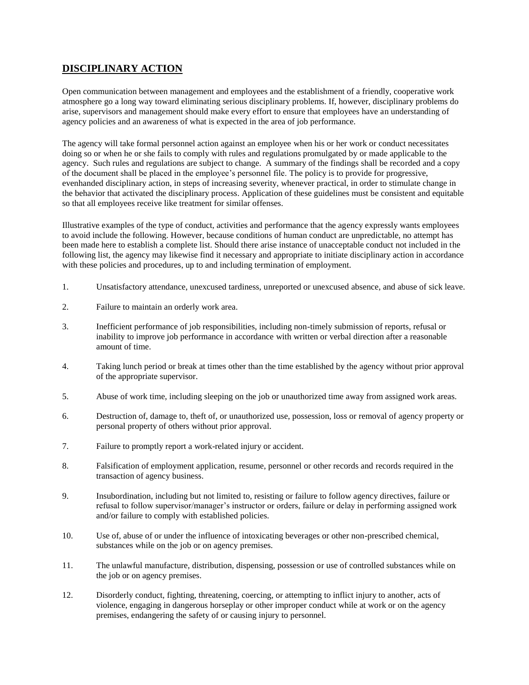# **DISCIPLINARY ACTION**

Open communication between management and employees and the establishment of a friendly, cooperative work atmosphere go a long way toward eliminating serious disciplinary problems. If, however, disciplinary problems do arise, supervisors and management should make every effort to ensure that employees have an understanding of agency policies and an awareness of what is expected in the area of job performance.

The agency will take formal personnel action against an employee when his or her work or conduct necessitates doing so or when he or she fails to comply with rules and regulations promulgated by or made applicable to the agency. Such rules and regulations are subject to change. A summary of the findings shall be recorded and a copy of the document shall be placed in the employee's personnel file. The policy is to provide for progressive, evenhanded disciplinary action, in steps of increasing severity, whenever practical, in order to stimulate change in the behavior that activated the disciplinary process. Application of these guidelines must be consistent and equitable so that all employees receive like treatment for similar offenses.

Illustrative examples of the type of conduct, activities and performance that the agency expressly wants employees to avoid include the following. However, because conditions of human conduct are unpredictable, no attempt has been made here to establish a complete list. Should there arise instance of unacceptable conduct not included in the following list, the agency may likewise find it necessary and appropriate to initiate disciplinary action in accordance with these policies and procedures, up to and including termination of employment.

- 1. Unsatisfactory attendance, unexcused tardiness, unreported or unexcused absence, and abuse of sick leave.
- 2. Failure to maintain an orderly work area.
- 3. Inefficient performance of job responsibilities, including non-timely submission of reports, refusal or inability to improve job performance in accordance with written or verbal direction after a reasonable amount of time.
- 4. Taking lunch period or break at times other than the time established by the agency without prior approval of the appropriate supervisor.
- 5. Abuse of work time, including sleeping on the job or unauthorized time away from assigned work areas.
- 6. Destruction of, damage to, theft of, or unauthorized use, possession, loss or removal of agency property or personal property of others without prior approval.
- 7. Failure to promptly report a work-related injury or accident.
- 8. Falsification of employment application, resume, personnel or other records and records required in the transaction of agency business.
- 9. Insubordination, including but not limited to, resisting or failure to follow agency directives, failure or refusal to follow supervisor/manager's instructor or orders, failure or delay in performing assigned work and/or failure to comply with established policies.
- 10. Use of, abuse of or under the influence of intoxicating beverages or other non-prescribed chemical, substances while on the job or on agency premises.
- 11. The unlawful manufacture, distribution, dispensing, possession or use of controlled substances while on the job or on agency premises.
- 12. Disorderly conduct, fighting, threatening, coercing, or attempting to inflict injury to another, acts of violence, engaging in dangerous horseplay or other improper conduct while at work or on the agency premises, endangering the safety of or causing injury to personnel.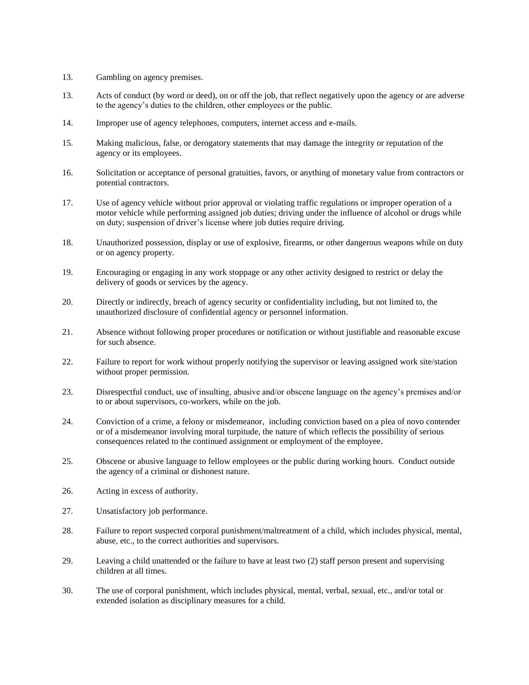- 13. Gambling on agency premises.
- 13. Acts of conduct (by word or deed), on or off the job, that reflect negatively upon the agency or are adverse to the agency's duties to the children, other employees or the public.
- 14. Improper use of agency telephones, computers, internet access and e-mails.
- 15. Making malicious, false, or derogatory statements that may damage the integrity or reputation of the agency or its employees.
- 16. Solicitation or acceptance of personal gratuities, favors, or anything of monetary value from contractors or potential contractors.
- 17. Use of agency vehicle without prior approval or violating traffic regulations or improper operation of a motor vehicle while performing assigned job duties; driving under the influence of alcohol or drugs while on duty; suspension of driver's license where job duties require driving.
- 18. Unauthorized possession, display or use of explosive, firearms, or other dangerous weapons while on duty or on agency property.
- 19. Encouraging or engaging in any work stoppage or any other activity designed to restrict or delay the delivery of goods or services by the agency.
- 20. Directly or indirectly, breach of agency security or confidentiality including, but not limited to, the unauthorized disclosure of confidential agency or personnel information.
- 21. Absence without following proper procedures or notification or without justifiable and reasonable excuse for such absence.
- 22. Failure to report for work without properly notifying the supervisor or leaving assigned work site/station without proper permission.
- 23. Disrespectful conduct, use of insulting, abusive and/or obscene language on the agency's premises and/or to or about supervisors, co-workers, while on the job.
- 24. Conviction of a crime, a felony or misdemeanor, including conviction based on a plea of novo contender or of a misdemeanor involving moral turpitude, the nature of which reflects the possibility of serious consequences related to the continued assignment or employment of the employee.
- 25. Obscene or abusive language to fellow employees or the public during working hours. Conduct outside the agency of a criminal or dishonest nature.
- 26. Acting in excess of authority.
- 27. Unsatisfactory job performance.
- 28. Failure to report suspected corporal punishment/maltreatment of a child, which includes physical, mental, abuse, etc., to the correct authorities and supervisors.
- 29. Leaving a child unattended or the failure to have at least two (2) staff person present and supervising children at all times.
- 30. The use of corporal punishment, which includes physical, mental, verbal, sexual, etc., and/or total or extended isolation as disciplinary measures for a child.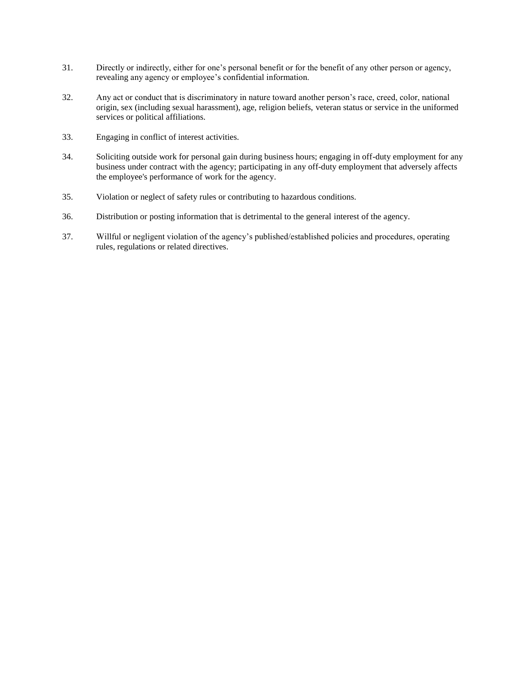- 31. Directly or indirectly, either for one's personal benefit or for the benefit of any other person or agency, revealing any agency or employee's confidential information.
- 32. Any act or conduct that is discriminatory in nature toward another person's race, creed, color, national origin, sex (including sexual harassment), age, religion beliefs, veteran status or service in the uniformed services or political affiliations.
- 33. Engaging in conflict of interest activities.
- 34. Soliciting outside work for personal gain during business hours; engaging in off-duty employment for any business under contract with the agency; participating in any off-duty employment that adversely affects the employee's performance of work for the agency.
- 35. Violation or neglect of safety rules or contributing to hazardous conditions.
- 36. Distribution or posting information that is detrimental to the general interest of the agency.
- 37. Willful or negligent violation of the agency's published/established policies and procedures, operating rules, regulations or related directives.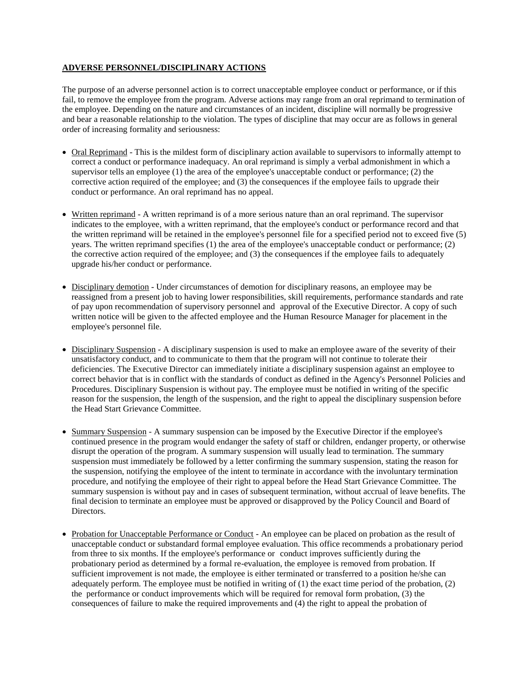# **ADVERSE PERSONNEL/DISCIPLINARY ACTIONS**

The purpose of an adverse personnel action is to correct unacceptable employee conduct or performance, or if this fail, to remove the employee from the program. Adverse actions may range from an oral reprimand to termination of the employee. Depending on the nature and circumstances of an incident, discipline will normally be progressive and bear a reasonable relationship to the violation. The types of discipline that may occur are as follows in general order of increasing formality and seriousness:

- Oral Reprimand This is the mildest form of disciplinary action available to supervisors to informally attempt to correct a conduct or performance inadequacy. An oral reprimand is simply a verbal admonishment in which a supervisor tells an employee (1) the area of the employee's unacceptable conduct or performance; (2) the corrective action required of the employee; and (3) the consequences if the employee fails to upgrade their conduct or performance. An oral reprimand has no appeal.
- Written reprimand A written reprimand is of a more serious nature than an oral reprimand. The supervisor indicates to the employee, with a written reprimand, that the employee's conduct or performance record and that the written reprimand will be retained in the employee's personnel file for a specified period not to exceed five (5) years. The written reprimand specifies (1) the area of the employee's unacceptable conduct or performance; (2) the corrective action required of the employee; and (3) the consequences if the employee fails to adequately upgrade his/her conduct or performance.
- Disciplinary demotion Under circumstances of demotion for disciplinary reasons, an employee may be reassigned from a present job to having lower responsibilities, skill requirements, performance standards and rate of pay upon recommendation of supervisory personnel and approval of the Executive Director. A copy of such written notice will be given to the affected employee and the Human Resource Manager for placement in the employee's personnel file.
- Disciplinary Suspension A disciplinary suspension is used to make an employee aware of the severity of their unsatisfactory conduct, and to communicate to them that the program will not continue to tolerate their deficiencies. The Executive Director can immediately initiate a disciplinary suspension against an employee to correct behavior that is in conflict with the standards of conduct as defined in the Agency's Personnel Policies and Procedures. Disciplinary Suspension is without pay. The employee must be notified in writing of the specific reason for the suspension, the length of the suspension, and the right to appeal the disciplinary suspension before the Head Start Grievance Committee.
- Summary Suspension A summary suspension can be imposed by the Executive Director if the employee's continued presence in the program would endanger the safety of staff or children, endanger property, or otherwise disrupt the operation of the program. A summary suspension will usually lead to termination. The summary suspension must immediately be followed by a letter confirming the summary suspension, stating the reason for the suspension, notifying the employee of the intent to terminate in accordance with the involuntary termination procedure, and notifying the employee of their right to appeal before the Head Start Grievance Committee. The summary suspension is without pay and in cases of subsequent termination, without accrual of leave benefits. The final decision to terminate an employee must be approved or disapproved by the Policy Council and Board of Directors.
- Probation for Unacceptable Performance or Conduct An employee can be placed on probation as the result of unacceptable conduct or substandard formal employee evaluation. This office recommends a probationary period from three to six months. If the employee's performance or conduct improves sufficiently during the probationary period as determined by a formal re-evaluation, the employee is removed from probation. If sufficient improvement is not made, the employee is either terminated or transferred to a position he/she can adequately perform. The employee must be notified in writing of (1) the exact time period of the probation, (2) the performance or conduct improvements which will be required for removal form probation, (3) the consequences of failure to make the required improvements and (4) the right to appeal the probation of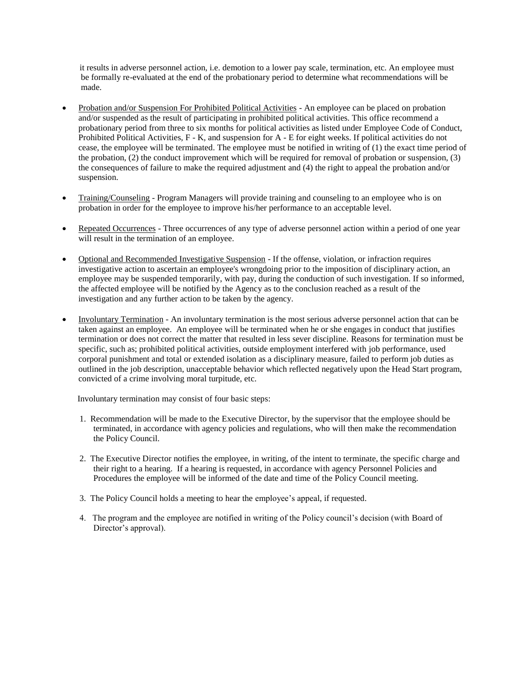it results in adverse personnel action, i.e. demotion to a lower pay scale, termination, etc. An employee must be formally re-evaluated at the end of the probationary period to determine what recommendations will be made.

- Probation and/or Suspension For Prohibited Political Activities An employee can be placed on probation and/or suspended as the result of participating in prohibited political activities. This office recommend a probationary period from three to six months for political activities as listed under Employee Code of Conduct, Prohibited Political Activities, F - K, and suspension for A - E for eight weeks. If political activities do not cease, the employee will be terminated. The employee must be notified in writing of (1) the exact time period of the probation, (2) the conduct improvement which will be required for removal of probation or suspension, (3) the consequences of failure to make the required adjustment and (4) the right to appeal the probation and/or suspension.
- Training/Counseling Program Managers will provide training and counseling to an employee who is on probation in order for the employee to improve his/her performance to an acceptable level.
- Repeated Occurrences Three occurrences of any type of adverse personnel action within a period of one year will result in the termination of an employee.
- Optional and Recommended Investigative Suspension If the offense, violation, or infraction requires investigative action to ascertain an employee's wrongdoing prior to the imposition of disciplinary action, an employee may be suspended temporarily, with pay, during the conduction of such investigation. If so informed, the affected employee will be notified by the Agency as to the conclusion reached as a result of the investigation and any further action to be taken by the agency.
- Involuntary Termination An involuntary termination is the most serious adverse personnel action that can be taken against an employee. An employee will be terminated when he or she engages in conduct that justifies termination or does not correct the matter that resulted in less sever discipline. Reasons for termination must be specific, such as; prohibited political activities, outside employment interfered with job performance, used corporal punishment and total or extended isolation as a disciplinary measure, failed to perform job duties as outlined in the job description, unacceptable behavior which reflected negatively upon the Head Start program, convicted of a crime involving moral turpitude, etc.

Involuntary termination may consist of four basic steps:

- 1. Recommendation will be made to the Executive Director, by the supervisor that the employee should be terminated, in accordance with agency policies and regulations, who will then make the recommendation the Policy Council.
- 2. The Executive Director notifies the employee, in writing, of the intent to terminate, the specific charge and their right to a hearing. If a hearing is requested, in accordance with agency Personnel Policies and Procedures the employee will be informed of the date and time of the Policy Council meeting.
- 3. The Policy Council holds a meeting to hear the employee's appeal, if requested.
- 4. The program and the employee are notified in writing of the Policy council's decision (with Board of Director's approval).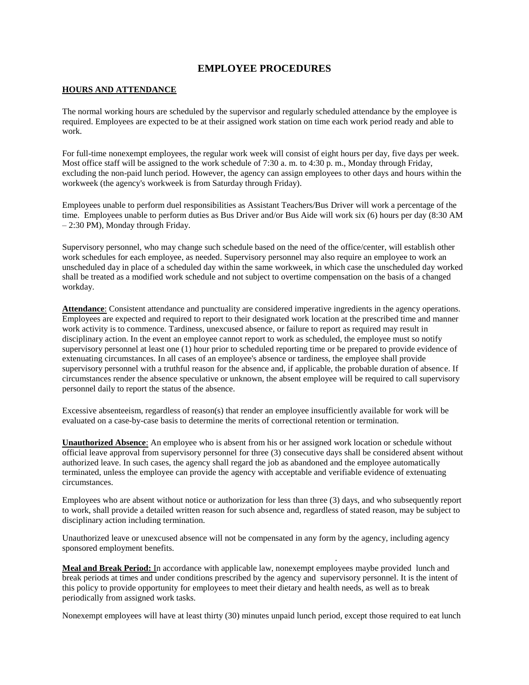# **EMPLOYEE PROCEDURES**

#### **HOURS AND ATTENDANCE**

The normal working hours are scheduled by the supervisor and regularly scheduled attendance by the employee is required. Employees are expected to be at their assigned work station on time each work period ready and able to work.

For full-time nonexempt employees, the regular work week will consist of eight hours per day, five days per week. Most office staff will be assigned to the work schedule of 7:30 a. m. to 4:30 p. m., Monday through Friday, excluding the non-paid lunch period. However, the agency can assign employees to other days and hours within the workweek (the agency's workweek is from Saturday through Friday).

Employees unable to perform duel responsibilities as Assistant Teachers/Bus Driver will work a percentage of the time. Employees unable to perform duties as Bus Driver and/or Bus Aide will work six (6) hours per day (8:30 AM – 2:30 PM), Monday through Friday.

Supervisory personnel, who may change such schedule based on the need of the office/center, will establish other work schedules for each employee, as needed. Supervisory personnel may also require an employee to work an unscheduled day in place of a scheduled day within the same workweek, in which case the unscheduled day worked shall be treated as a modified work schedule and not subject to overtime compensation on the basis of a changed workday.

**Attendance**: Consistent attendance and punctuality are considered imperative ingredients in the agency operations. Employees are expected and required to report to their designated work location at the prescribed time and manner work activity is to commence. Tardiness, unexcused absence, or failure to report as required may result in disciplinary action. In the event an employee cannot report to work as scheduled, the employee must so notify supervisory personnel at least one (1) hour prior to scheduled reporting time or be prepared to provide evidence of extenuating circumstances. In all cases of an employee's absence or tardiness, the employee shall provide supervisory personnel with a truthful reason for the absence and, if applicable, the probable duration of absence. If circumstances render the absence speculative or unknown, the absent employee will be required to call supervisory personnel daily to report the status of the absence.

Excessive absenteeism, regardless of reason(s) that render an employee insufficiently available for work will be evaluated on a case-by-case basis to determine the merits of correctional retention or termination.

**Unauthorized Absence**: An employee who is absent from his or her assigned work location or schedule without official leave approval from supervisory personnel for three (3) consecutive days shall be considered absent without authorized leave. In such cases, the agency shall regard the job as abandoned and the employee automatically terminated, unless the employee can provide the agency with acceptable and verifiable evidence of extenuating circumstances.

Employees who are absent without notice or authorization for less than three (3) days, and who subsequently report to work, shall provide a detailed written reason for such absence and, regardless of stated reason, may be subject to disciplinary action including termination.

Unauthorized leave or unexcused absence will not be compensated in any form by the agency, including agency sponsored employment benefits.

**Meal and Break Period:** In accordance with applicable law, nonexempt employees maybe provided lunch and break periods at times and under conditions prescribed by the agency and supervisory personnel. It is the intent of this policy to provide opportunity for employees to meet their dietary and health needs, as well as to break periodically from assigned work tasks.

.

Nonexempt employees will have at least thirty (30) minutes unpaid lunch period, except those required to eat lunch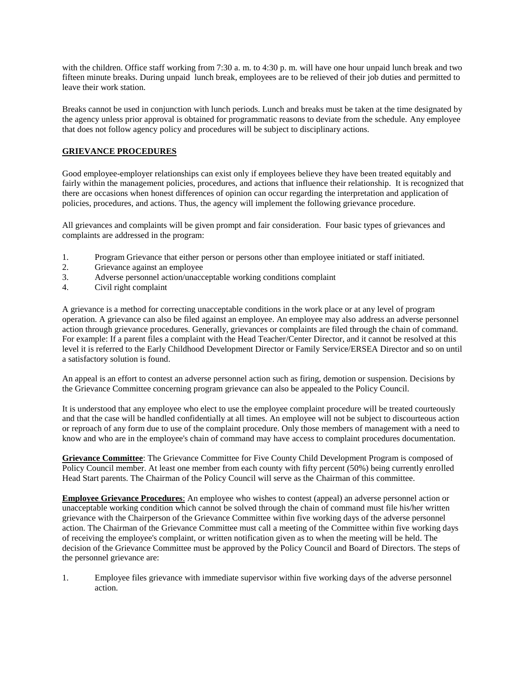with the children. Office staff working from 7:30 a.m. to 4:30 p.m. will have one hour unpaid lunch break and two fifteen minute breaks. During unpaid lunch break, employees are to be relieved of their job duties and permitted to leave their work station.

Breaks cannot be used in conjunction with lunch periods. Lunch and breaks must be taken at the time designated by the agency unless prior approval is obtained for programmatic reasons to deviate from the schedule. Any employee that does not follow agency policy and procedures will be subject to disciplinary actions.

# **GRIEVANCE PROCEDURES**

Good employee-employer relationships can exist only if employees believe they have been treated equitably and fairly within the management policies, procedures, and actions that influence their relationship. It is recognized that there are occasions when honest differences of opinion can occur regarding the interpretation and application of policies, procedures, and actions. Thus, the agency will implement the following grievance procedure.

All grievances and complaints will be given prompt and fair consideration. Four basic types of grievances and complaints are addressed in the program:

- 1. Program Grievance that either person or persons other than employee initiated or staff initiated.
- 2. Grievance against an employee<br>3 Adverse personnel action/unacc
- 3. Adverse personnel action/unacceptable working conditions complaint
- 4. Civil right complaint

A grievance is a method for correcting unacceptable conditions in the work place or at any level of program operation. A grievance can also be filed against an employee. An employee may also address an adverse personnel action through grievance procedures. Generally, grievances or complaints are filed through the chain of command. For example: If a parent files a complaint with the Head Teacher/Center Director, and it cannot be resolved at this level it is referred to the Early Childhood Development Director or Family Service/ERSEA Director and so on until a satisfactory solution is found.

An appeal is an effort to contest an adverse personnel action such as firing, demotion or suspension. Decisions by the Grievance Committee concerning program grievance can also be appealed to the Policy Council.

It is understood that any employee who elect to use the employee complaint procedure will be treated courteously and that the case will be handled confidentially at all times. An employee will not be subject to discourteous action or reproach of any form due to use of the complaint procedure. Only those members of management with a need to know and who are in the employee's chain of command may have access to complaint procedures documentation.

**Grievance Committee**: The Grievance Committee for Five County Child Development Program is composed of Policy Council member. At least one member from each county with fifty percent (50%) being currently enrolled Head Start parents. The Chairman of the Policy Council will serve as the Chairman of this committee.

**Employee Grievance Procedures**: An employee who wishes to contest (appeal) an adverse personnel action or unacceptable working condition which cannot be solved through the chain of command must file his/her written grievance with the Chairperson of the Grievance Committee within five working days of the adverse personnel action. The Chairman of the Grievance Committee must call a meeting of the Committee within five working days of receiving the employee's complaint, or written notification given as to when the meeting will be held. The decision of the Grievance Committee must be approved by the Policy Council and Board of Directors. The steps of the personnel grievance are:

1. Employee files grievance with immediate supervisor within five working days of the adverse personnel action.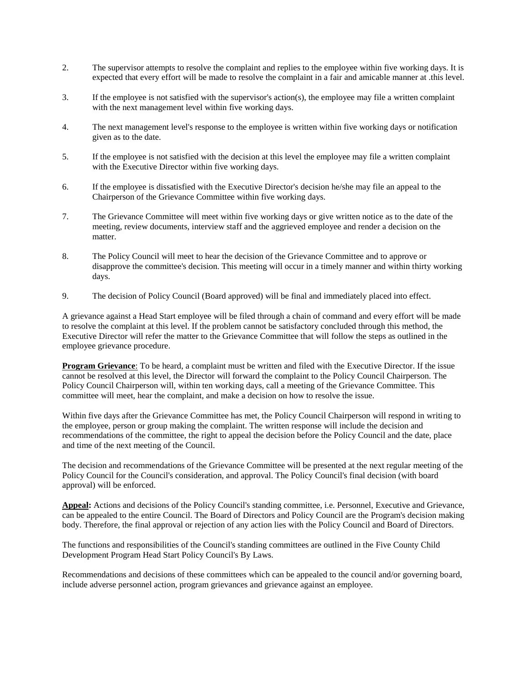- 2. The supervisor attempts to resolve the complaint and replies to the employee within five working days. It is expected that every effort will be made to resolve the complaint in a fair and amicable manner at .this level.
- 3. If the employee is not satisfied with the supervisor's action(s), the employee may file a written complaint with the next management level within five working days.
- 4. The next management level's response to the employee is written within five working days or notification given as to the date.
- 5. If the employee is not satisfied with the decision at this level the employee may file a written complaint with the Executive Director within five working days.
- 6. If the employee is dissatisfied with the Executive Director's decision he/she may file an appeal to the Chairperson of the Grievance Committee within five working days.
- 7. The Grievance Committee will meet within five working days or give written notice as to the date of the meeting, review documents, interview staff and the aggrieved employee and render a decision on the matter.
- 8. The Policy Council will meet to hear the decision of the Grievance Committee and to approve or disapprove the committee's decision. This meeting will occur in a timely manner and within thirty working days.
- 9. The decision of Policy Council (Board approved) will be final and immediately placed into effect.

A grievance against a Head Start employee will be filed through a chain of command and every effort will be made to resolve the complaint at this level. If the problem cannot be satisfactory concluded through this method, the Executive Director will refer the matter to the Grievance Committee that will follow the steps as outlined in the employee grievance procedure.

**Program Grievance**: To be heard, a complaint must be written and filed with the Executive Director. If the issue cannot be resolved at this level, the Director will forward the complaint to the Policy Council Chairperson. The Policy Council Chairperson will, within ten working days, call a meeting of the Grievance Committee. This committee will meet, hear the complaint, and make a decision on how to resolve the issue.

Within five days after the Grievance Committee has met, the Policy Council Chairperson will respond in writing to the employee, person or group making the complaint. The written response will include the decision and recommendations of the committee, the right to appeal the decision before the Policy Council and the date, place and time of the next meeting of the Council.

The decision and recommendations of the Grievance Committee will be presented at the next regular meeting of the Policy Council for the Council's consideration, and approval. The Policy Council's final decision (with board approval) will be enforced.

**Appeal:** Actions and decisions of the Policy Council's standing committee, i.e. Personnel, Executive and Grievance, can be appealed to the entire Council. The Board of Directors and Policy Council are the Program's decision making body. Therefore, the final approval or rejection of any action lies with the Policy Council and Board of Directors.

The functions and responsibilities of the Council's standing committees are outlined in the Five County Child Development Program Head Start Policy Council's By Laws.

Recommendations and decisions of these committees which can be appealed to the council and/or governing board, include adverse personnel action, program grievances and grievance against an employee.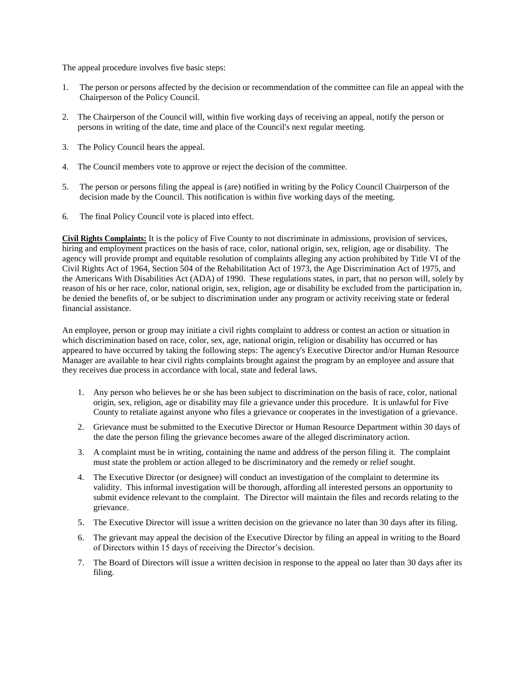The appeal procedure involves five basic steps:

- 1. The person or persons affected by the decision or recommendation of the committee can file an appeal with the Chairperson of the Policy Council.
- 2. The Chairperson of the Council will, within five working days of receiving an appeal, notify the person or persons in writing of the date, time and place of the Council's next regular meeting.
- 3. The Policy Council hears the appeal.
- 4. The Council members vote to approve or reject the decision of the committee.
- 5. The person or persons filing the appeal is (are) notified in writing by the Policy Council Chairperson of the decision made by the Council. This notification is within five working days of the meeting.
- 6. The final Policy Council vote is placed into effect.

**Civil Rights Complaints:** It is the policy of Five County to not discriminate in admissions, provision of services, hiring and employment practices on the basis of race, color, national origin, sex, religion, age or disability. The agency will provide prompt and equitable resolution of complaints alleging any action prohibited by Title VI of the Civil Rights Act of 1964, Section 504 of the Rehabilitation Act of 1973, the Age Discrimination Act of 1975, and the Americans With Disabilities Act (ADA) of 1990. These regulations states, in part, that no person will, solely by reason of his or her race, color, national origin, sex, religion, age or disability be excluded from the participation in, be denied the benefits of, or be subject to discrimination under any program or activity receiving state or federal financial assistance.

An employee, person or group may initiate a civil rights complaint to address or contest an action or situation in which discrimination based on race, color, sex, age, national origin, religion or disability has occurred or has appeared to have occurred by taking the following steps: The agency's Executive Director and/or Human Resource Manager are available to hear civil rights complaints brought against the program by an employee and assure that they receives due process in accordance with local, state and federal laws.

- 1. Any person who believes he or she has been subject to discrimination on the basis of race, color, national origin, sex, religion, age or disability may file a grievance under this procedure. It is unlawful for Five County to retaliate against anyone who files a grievance or cooperates in the investigation of a grievance.
- 2. Grievance must be submitted to the Executive Director or Human Resource Department within 30 days of the date the person filing the grievance becomes aware of the alleged discriminatory action.
- 3. A complaint must be in writing, containing the name and address of the person filing it. The complaint must state the problem or action alleged to be discriminatory and the remedy or relief sought.
- 4. The Executive Director (or designee) will conduct an investigation of the complaint to determine its validity. This informal investigation will be thorough, affording all interested persons an opportunity to submit evidence relevant to the complaint. The Director will maintain the files and records relating to the grievance.
- 5. The Executive Director will issue a written decision on the grievance no later than 30 days after its filing.
- 6. The grievant may appeal the decision of the Executive Director by filing an appeal in writing to the Board of Directors within 15 days of receiving the Director's decision.
- 7. The Board of Directors will issue a written decision in response to the appeal no later than 30 days after its filing.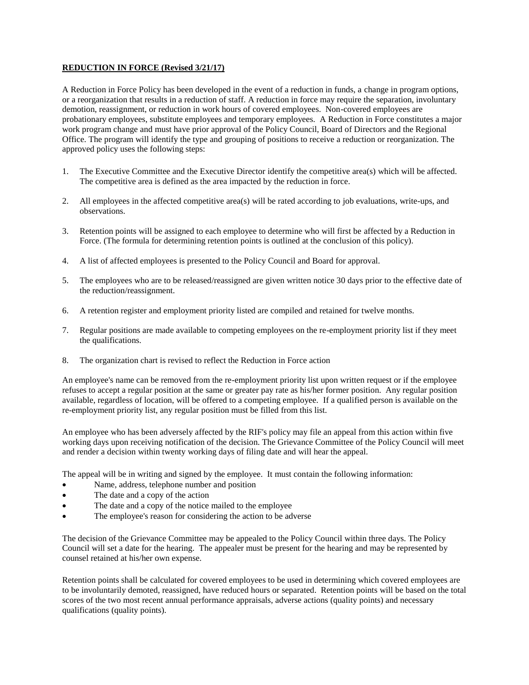# **REDUCTION IN FORCE (Revised 3/21/17)**

A Reduction in Force Policy has been developed in the event of a reduction in funds, a change in program options, or a reorganization that results in a reduction of staff. A reduction in force may require the separation, involuntary demotion, reassignment, or reduction in work hours of covered employees. Non-covered employees are probationary employees, substitute employees and temporary employees. A Reduction in Force constitutes a major work program change and must have prior approval of the Policy Council, Board of Directors and the Regional Office. The program will identify the type and grouping of positions to receive a reduction or reorganization. The approved policy uses the following steps:

- 1. The Executive Committee and the Executive Director identify the competitive area(s) which will be affected. The competitive area is defined as the area impacted by the reduction in force.
- 2. All employees in the affected competitive area(s) will be rated according to job evaluations, write-ups, and observations.
- 3. Retention points will be assigned to each employee to determine who will first be affected by a Reduction in Force. (The formula for determining retention points is outlined at the conclusion of this policy).
- 4. A list of affected employees is presented to the Policy Council and Board for approval.
- 5. The employees who are to be released/reassigned are given written notice 30 days prior to the effective date of the reduction/reassignment.
- 6. A retention register and employment priority listed are compiled and retained for twelve months.
- 7. Regular positions are made available to competing employees on the re-employment priority list if they meet the qualifications.
- 8. The organization chart is revised to reflect the Reduction in Force action

An employee's name can be removed from the re-employment priority list upon written request or if the employee refuses to accept a regular position at the same or greater pay rate as his/her former position. Any regular position available, regardless of location, will be offered to a competing employee. If a qualified person is available on the re-employment priority list, any regular position must be filled from this list.

An employee who has been adversely affected by the RIF's policy may file an appeal from this action within five working days upon receiving notification of the decision. The Grievance Committee of the Policy Council will meet and render a decision within twenty working days of filing date and will hear the appeal.

The appeal will be in writing and signed by the employee. It must contain the following information:

- Name, address, telephone number and position
- The date and a copy of the action
- The date and a copy of the notice mailed to the employee
- The employee's reason for considering the action to be adverse

The decision of the Grievance Committee may be appealed to the Policy Council within three days. The Policy Council will set a date for the hearing. The appealer must be present for the hearing and may be represented by counsel retained at his/her own expense.

Retention points shall be calculated for covered employees to be used in determining which covered employees are to be involuntarily demoted, reassigned, have reduced hours or separated. Retention points will be based on the total scores of the two most recent annual performance appraisals, adverse actions (quality points) and necessary qualifications (quality points).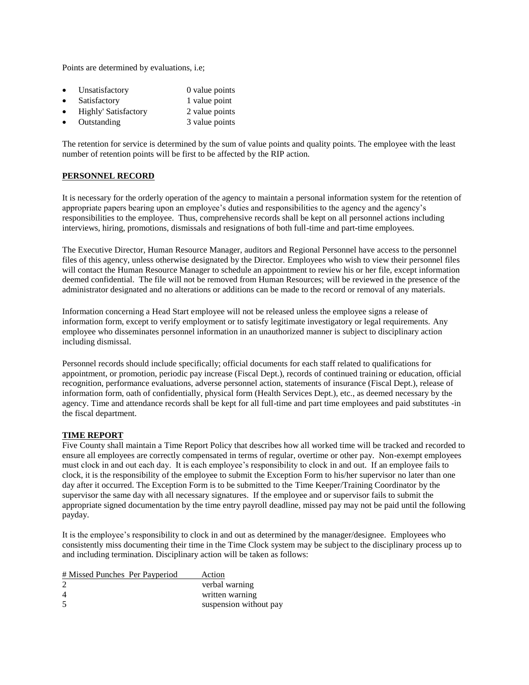Points are determined by evaluations, i.e;

| Unsatisfactory              | 0 value points |
|-----------------------------|----------------|
| Satisfactory                | 1 value point  |
| <b>Highly' Satisfactory</b> | 2 value points |
| Outstanding                 | 3 value points |

The retention for service is determined by the sum of value points and quality points. The employee with the least number of retention points will be first to be affected by the RIP action.

#### **PERSONNEL RECORD**

It is necessary for the orderly operation of the agency to maintain a personal information system for the retention of appropriate papers bearing upon an employee's duties and responsibilities to the agency and the agency's responsibilities to the employee. Thus, comprehensive records shall be kept on all personnel actions including interviews, hiring, promotions, dismissals and resignations of both full-time and part-time employees.

The Executive Director, Human Resource Manager, auditors and Regional Personnel have access to the personnel files of this agency, unless otherwise designated by the Director. Employees who wish to view their personnel files will contact the Human Resource Manager to schedule an appointment to review his or her file, except information deemed confidential. The file will not be removed from Human Resources; will be reviewed in the presence of the administrator designated and no alterations or additions can be made to the record or removal of any materials.

Information concerning a Head Start employee will not be released unless the employee signs a release of information form, except to verify employment or to satisfy legitimate investigatory or legal requirements. Any employee who disseminates personnel information in an unauthorized manner is subject to disciplinary action including dismissal.

Personnel records should include specifically; official documents for each staff related to qualifications for appointment, or promotion, periodic pay increase (Fiscal Dept.), records of continued training or education, official recognition, performance evaluations, adverse personnel action, statements of insurance (Fiscal Dept.), release of information form, oath of confidentially, physical form (Health Services Dept.), etc., as deemed necessary by the agency. Time and attendance records shall be kept for all full-time and part time employees and paid substitutes -in the fiscal department.

#### **TIME REPORT**

Five County shall maintain a Time Report Policy that describes how all worked time will be tracked and recorded to ensure all employees are correctly compensated in terms of regular, overtime or other pay. Non-exempt employees must clock in and out each day. It is each employee's responsibility to clock in and out. If an employee fails to clock, it is the responsibility of the employee to submit the Exception Form to his/her supervisor no later than one day after it occurred. The Exception Form is to be submitted to the Time Keeper/Training Coordinator by the supervisor the same day with all necessary signatures. If the employee and or supervisor fails to submit the appropriate signed documentation by the time entry payroll deadline, missed pay may not be paid until the following payday.

It is the employee's responsibility to clock in and out as determined by the manager/designee. Employees who consistently miss documenting their time in the Time Clock system may be subject to the disciplinary process up to and including termination. Disciplinary action will be taken as follows:

| # Missed Punches Per Payperiod | Action                 |
|--------------------------------|------------------------|
|                                | verbal warning         |
| 4                              | written warning        |
| 5                              | suspension without pay |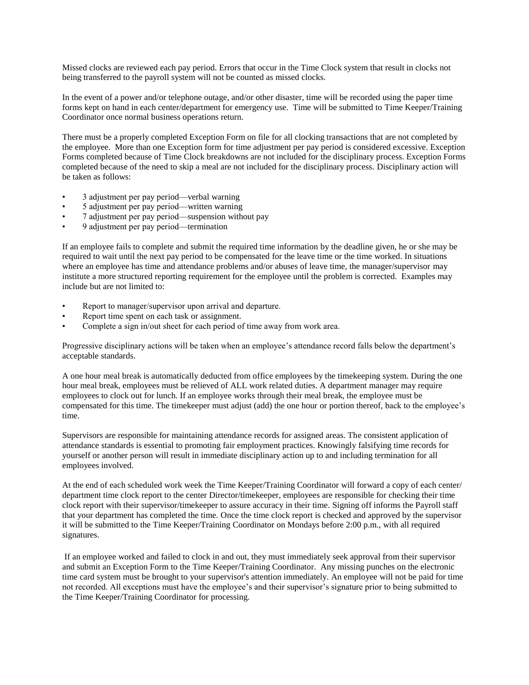Missed clocks are reviewed each pay period. Errors that occur in the Time Clock system that result in clocks not being transferred to the payroll system will not be counted as missed clocks.

In the event of a power and/or telephone outage, and/or other disaster, time will be recorded using the paper time forms kept on hand in each center/department for emergency use. Time will be submitted to Time Keeper/Training Coordinator once normal business operations return.

There must be a properly completed Exception Form on file for all clocking transactions that are not completed by the employee. More than one Exception form for time adjustment per pay period is considered excessive. Exception Forms completed because of Time Clock breakdowns are not included for the disciplinary process. Exception Forms completed because of the need to skip a meal are not included for the disciplinary process. Disciplinary action will be taken as follows:

- 3 adjustment per pay period—verbal warning
- 5 adjustment per pay period—written warning
- 7 adjustment per pay period—suspension without pay
- 9 adjustment per pay period—termination

If an employee fails to complete and submit the required time information by the deadline given, he or she may be required to wait until the next pay period to be compensated for the leave time or the time worked. In situations where an employee has time and attendance problems and/or abuses of leave time, the manager/supervisor may institute a more structured reporting requirement for the employee until the problem is corrected. Examples may include but are not limited to:

- Report to manager/supervisor upon arrival and departure.
- Report time spent on each task or assignment.
- Complete a sign in/out sheet for each period of time away from work area.

Progressive disciplinary actions will be taken when an employee's attendance record falls below the department's acceptable standards.

A one hour meal break is automatically deducted from office employees by the timekeeping system. During the one hour meal break, employees must be relieved of ALL work related duties. A department manager may require employees to clock out for lunch. If an employee works through their meal break, the employee must be compensated for this time. The timekeeper must adjust (add) the one hour or portion thereof, back to the employee's time.

Supervisors are responsible for maintaining attendance records for assigned areas. The consistent application of attendance standards is essential to promoting fair employment practices. Knowingly falsifying time records for yourself or another person will result in immediate disciplinary action up to and including termination for all employees involved.

At the end of each scheduled work week the Time Keeper/Training Coordinator will forward a copy of each center/ department time clock report to the center Director/timekeeper, employees are responsible for checking their time clock report with their supervisor/timekeeper to assure accuracy in their time. Signing off informs the Payroll staff that your department has completed the time. Once the time clock report is checked and approved by the supervisor it will be submitted to the Time Keeper/Training Coordinator on Mondays before 2:00 p.m., with all required signatures.

If an employee worked and failed to clock in and out, they must immediately seek approval from their supervisor and submit an Exception Form to the Time Keeper/Training Coordinator. Any missing punches on the electronic time card system must be brought to your supervisor's attention immediately. An employee will not be paid for time not recorded. All exceptions must have the employee's and their supervisor's signature prior to being submitted to the Time Keeper/Training Coordinator for processing.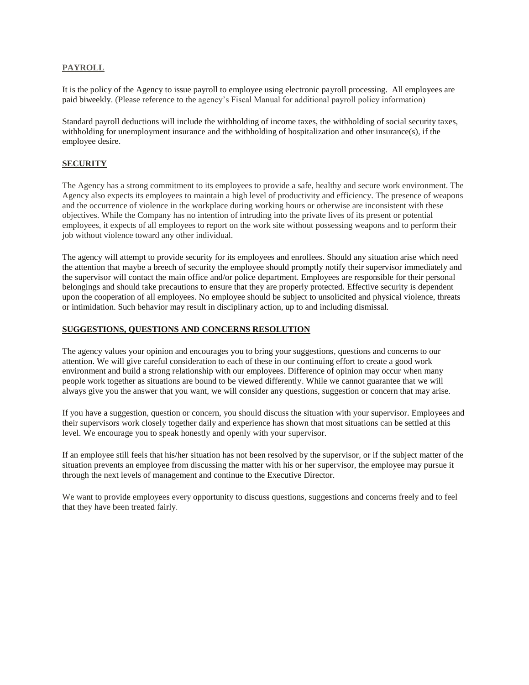## **PAYROLL**

It is the policy of the Agency to issue payroll to employee using electronic payroll processing. All employees are paid biweekly. (Please reference to the agency's Fiscal Manual for additional payroll policy information)

Standard payroll deductions will include the withholding of income taxes, the withholding of social security taxes, withholding for unemployment insurance and the withholding of hospitalization and other insurance(s), if the employee desire.

## **SECURITY**

The Agency has a strong commitment to its employees to provide a safe, healthy and secure work environment. The Agency also expects its employees to maintain a high level of productivity and efficiency. The presence of weapons and the occurrence of violence in the workplace during working hours or otherwise are inconsistent with these objectives. While the Company has no intention of intruding into the private lives of its present or potential employees, it expects of all employees to report on the work site without possessing weapons and to perform their job without violence toward any other individual.

The agency will attempt to provide security for its employees and enrollees. Should any situation arise which need the attention that maybe a breech of security the employee should promptly notify their supervisor immediately and the supervisor will contact the main office and/or police department. Employees are responsible for their personal belongings and should take precautions to ensure that they are properly protected. Effective security is dependent upon the cooperation of all employees. No employee should be subject to unsolicited and physical violence, threats or intimidation. Such behavior may result in disciplinary action, up to and including dismissal.

#### **SUGGESTIONS, QUESTIONS AND CONCERNS RESOLUTION**

The agency values your opinion and encourages you to bring your suggestions, questions and concerns to our attention. We will give careful consideration to each of these in our continuing effort to create a good work environment and build a strong relationship with our employees. Difference of opinion may occur when many people work together as situations are bound to be viewed differently. While we cannot guarantee that we will always give you the answer that you want, we will consider any questions, suggestion or concern that may arise.

If you have a suggestion, question or concern, you should discuss the situation with your supervisor. Employees and their supervisors work closely together daily and experience has shown that most situations can be settled at this level. We encourage you to speak honestly and openly with your supervisor.

If an employee still feels that his/her situation has not been resolved by the supervisor, or if the subject matter of the situation prevents an employee from discussing the matter with his or her supervisor, the employee may pursue it through the next levels of management and continue to the Executive Director.

We want to provide employees every opportunity to discuss questions, suggestions and concerns freely and to feel that they have been treated fairly.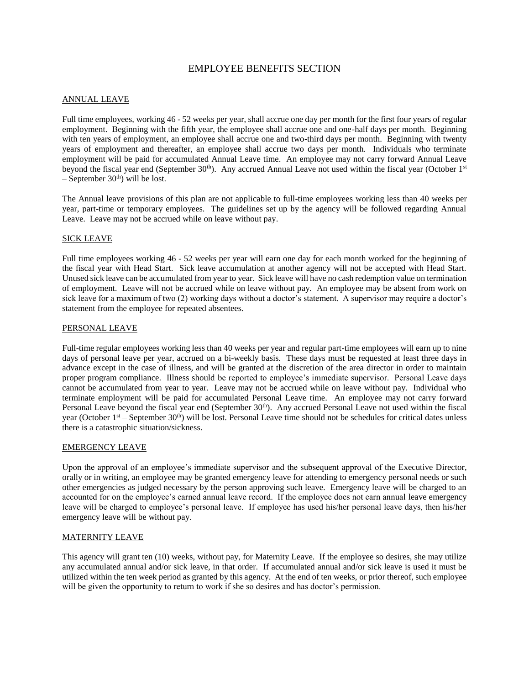# EMPLOYEE BENEFITS SECTION

#### ANNUAL LEAVE

Full time employees, working 46 - 52 weeks per year, shall accrue one day per month for the first four years of regular employment. Beginning with the fifth year, the employee shall accrue one and one-half days per month. Beginning with ten years of employment, an employee shall accrue one and two-third days per month. Beginning with twenty years of employment and thereafter, an employee shall accrue two days per month. Individuals who terminate employment will be paid for accumulated Annual Leave time. An employee may not carry forward Annual Leave beyond the fiscal year end (September 30<sup>th</sup>). Any accrued Annual Leave not used within the fiscal year (October 1<sup>st</sup>)  $-$  September 30<sup>th</sup>) will be lost.

The Annual leave provisions of this plan are not applicable to full-time employees working less than 40 weeks per year, part-time or temporary employees. The guidelines set up by the agency will be followed regarding Annual Leave. Leave may not be accrued while on leave without pay.

## SICK LEAVE

Full time employees working 46 - 52 weeks per year will earn one day for each month worked for the beginning of the fiscal year with Head Start. Sick leave accumulation at another agency will not be accepted with Head Start. Unused sick leave can be accumulated from year to year. Sick leave will have no cash redemption value on termination of employment. Leave will not be accrued while on leave without pay. An employee may be absent from work on sick leave for a maximum of two (2) working days without a doctor's statement. A supervisor may require a doctor's statement from the employee for repeated absentees.

#### PERSONAL LEAVE

Full-time regular employees working less than 40 weeks per year and regular part-time employees will earn up to nine days of personal leave per year, accrued on a bi-weekly basis. These days must be requested at least three days in advance except in the case of illness, and will be granted at the discretion of the area director in order to maintain proper program compliance. Illness should be reported to employee's immediate supervisor. Personal Leave days cannot be accumulated from year to year. Leave may not be accrued while on leave without pay. Individual who terminate employment will be paid for accumulated Personal Leave time. An employee may not carry forward Personal Leave beyond the fiscal year end (September 30<sup>th</sup>). Any accrued Personal Leave not used within the fiscal year (October  $1^{st}$  – September  $30^{th}$ ) will be lost. Personal Leave time should not be schedules for critical dates unless there is a catastrophic situation/sickness.

#### EMERGENCY LEAVE

Upon the approval of an employee's immediate supervisor and the subsequent approval of the Executive Director, orally or in writing, an employee may be granted emergency leave for attending to emergency personal needs or such other emergencies as judged necessary by the person approving such leave. Emergency leave will be charged to an accounted for on the employee's earned annual leave record. If the employee does not earn annual leave emergency leave will be charged to employee's personal leave. If employee has used his/her personal leave days, then his/her emergency leave will be without pay.

#### MATERNITY LEAVE

This agency will grant ten (10) weeks, without pay, for Maternity Leave. If the employee so desires, she may utilize any accumulated annual and/or sick leave, in that order. If accumulated annual and/or sick leave is used it must be utilized within the ten week period as granted by this agency. At the end of ten weeks, or prior thereof, such employee will be given the opportunity to return to work if she so desires and has doctor's permission.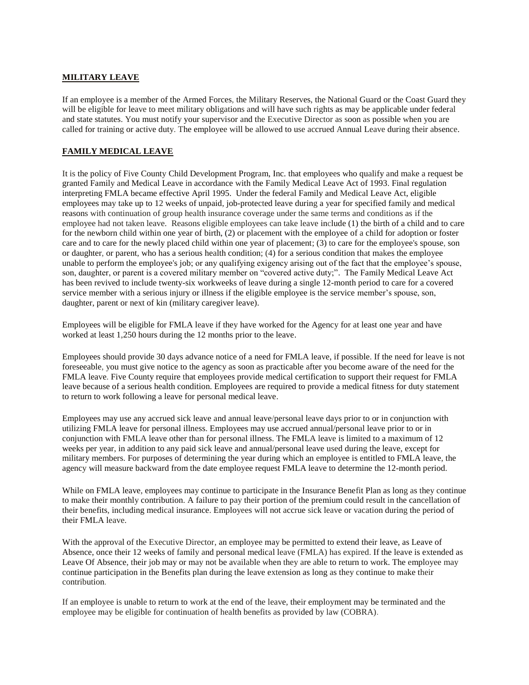## **MILITARY LEAVE**

If an employee is a member of the Armed Forces, the Military Reserves, the National Guard or the Coast Guard they will be eligible for leave to meet military obligations and will have such rights as may be applicable under federal and state statutes. You must notify your supervisor and the Executive Director as soon as possible when you are called for training or active duty. The employee will be allowed to use accrued Annual Leave during their absence.

# **FAMILY MEDICAL LEAVE**

It is the policy of Five County Child Development Program, Inc. that employees who qualify and make a request be granted Family and Medical Leave in accordance with the Family Medical Leave Act of 1993. Final regulation interpreting FMLA became effective April 1995. Under the federal Family and Medical Leave Act, eligible employees may take up to 12 weeks of unpaid, job-protected leave during a year for specified family and medical reasons with continuation of group health insurance coverage under the same terms and conditions as if the employee had not taken leave. Reasons eligible employees can take leave include (1) the birth of a child and to care for the newborn child within one year of birth, (2) or placement with the employee of a child for adoption or foster care and to care for the newly placed child within one year of placement; (3) to care for the employee's spouse, son or daughter, or parent, who has a serious health condition; (4) for a serious condition that makes the employee unable to perform the employee's job; or any qualifying exigency arising out of the fact that the employee's spouse, son, daughter, or parent is a covered military member on "covered active duty;". The Family Medical Leave Act has been revived to include twenty-six workweeks of leave during a single 12-month period to care for a covered service member with a serious injury or illness if the eligible employee is the service member's spouse, son, daughter, parent or next of kin (military caregiver leave).

Employees will be eligible for FMLA leave if they have worked for the Agency for at least one year and have worked at least 1,250 hours during the 12 months prior to the leave.

Employees should provide 30 days advance notice of a need for FMLA leave, if possible. If the need for leave is not foreseeable, you must give notice to the agency as soon as practicable after you become aware of the need for the FMLA leave. Five County require that employees provide medical certification to support their request for FMLA leave because of a serious health condition. Employees are required to provide a medical fitness for duty statement to return to work following a leave for personal medical leave.

Employees may use any accrued sick leave and annual leave/personal leave days prior to or in conjunction with utilizing FMLA leave for personal illness. Employees may use accrued annual/personal leave prior to or in conjunction with FMLA leave other than for personal illness. The FMLA leave is limited to a maximum of 12 weeks per year, in addition to any paid sick leave and annual/personal leave used during the leave, except for military members. For purposes of determining the year during which an employee is entitled to FMLA leave, the agency will measure backward from the date employee request FMLA leave to determine the 12-month period.

While on FMLA leave, employees may continue to participate in the Insurance Benefit Plan as long as they continue to make their monthly contribution. A failure to pay their portion of the premium could result in the cancellation of their benefits, including medical insurance. Employees will not accrue sick leave or vacation during the period of their FMLA leave.

With the approval of the Executive Director, an employee may be permitted to extend their leave, as Leave of Absence, once their 12 weeks of family and personal medical leave (FMLA) has expired. If the leave is extended as Leave Of Absence, their job may or may not be available when they are able to return to work. The employee may continue participation in the Benefits plan during the leave extension as long as they continue to make their contribution.

If an employee is unable to return to work at the end of the leave, their employment may be terminated and the employee may be eligible for continuation of health benefits as provided by law (COBRA).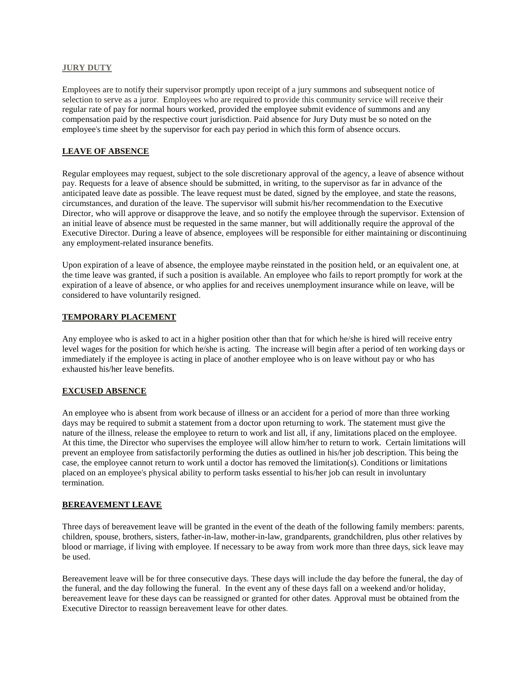#### **JURY DUTY**

Employees are to notify their supervisor promptly upon receipt of a jury summons and subsequent notice of selection to serve as a juror. Employees who are required to provide this community service will receive their regular rate of pay for normal hours worked, provided the employee submit evidence of summons and any compensation paid by the respective court jurisdiction. Paid absence for Jury Duty must be so noted on the employee's time sheet by the supervisor for each pay period in which this form of absence occurs.

# **LEAVE OF ABSENCE**

Regular employees may request, subject to the sole discretionary approval of the agency, a leave of absence without pay. Requests for a leave of absence should be submitted, in writing, to the supervisor as far in advance of the anticipated leave date as possible. The leave request must be dated, signed by the employee, and state the reasons, circumstances, and duration of the leave. The supervisor will submit his/her recommendation to the Executive Director, who will approve or disapprove the leave, and so notify the employee through the supervisor. Extension of an initial leave of absence must be requested in the same manner, but will additionally require the approval of the Executive Director. During a leave of absence, employees will be responsible for either maintaining or discontinuing any employment-related insurance benefits.

Upon expiration of a leave of absence, the employee maybe reinstated in the position held, or an equivalent one, at the time leave was granted, if such a position is available. An employee who fails to report promptly for work at the expiration of a leave of absence, or who applies for and receives unemployment insurance while on leave, will be considered to have voluntarily resigned.

# **TEMPORARY PLACEMENT**

Any employee who is asked to act in a higher position other than that for which he/she is hired will receive entry level wages for the position for which he/she is acting. The increase will begin after a period of ten working days or immediately if the employee is acting in place of another employee who is on leave without pay or who has exhausted his/her leave benefits.

# **EXCUSED ABSENCE**

An employee who is absent from work because of illness or an accident for a period of more than three working days may be required to submit a statement from a doctor upon returning to work. The statement must give the nature of the illness, release the employee to return to work and list all, if any, limitations placed on the employee. At this time, the Director who supervises the employee will allow him/her to return to work. Certain limitations will prevent an employee from satisfactorily performing the duties as outlined in his/her job description. This being the case, the employee cannot return to work until a doctor has removed the limitation(s). Conditions or limitations placed on an employee's physical ability to perform tasks essential to his/her job can result in involuntary termination.

# **BEREAVEMENT LEAVE**

Three days of bereavement leave will be granted in the event of the death of the following family members: parents, children, spouse, brothers, sisters, father-in-law, mother-in-law, grandparents, grandchildren, plus other relatives by blood or marriage, if living with employee. If necessary to be away from work more than three days, sick leave may be used.

Bereavement leave will be for three consecutive days. These days will include the day before the funeral, the day of the funeral, and the day following the funeral. In the event any of these days fall on a weekend and/or holiday, bereavement leave for these days can be reassigned or granted for other dates. Approval must be obtained from the Executive Director to reassign bereavement leave for other dates.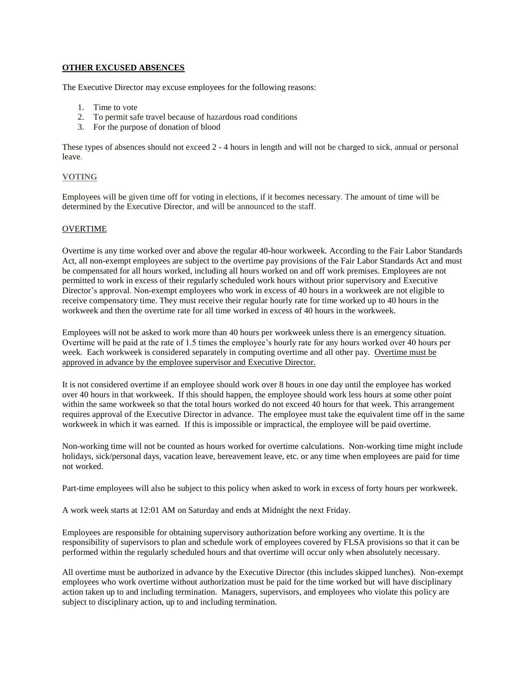# **OTHER EXCUSED ABSENCES**

The Executive Director may excuse employees for the following reasons:

- 1. Time to vote
- 2. To permit safe travel because of hazardous road conditions
- 3. For the purpose of donation of blood

These types of absences should not exceed 2 - 4 hours in length and will not be charged to sick, annual or personal leave.

## **VOTING**

Employees will be given time off for voting in elections, if it becomes necessary. The amount of time will be determined by the Executive Director, and will be announced to the staff.

#### OVERTIME

Overtime is any time worked over and above the regular 40-hour workweek. According to the Fair Labor Standards Act, all non-exempt employees are subject to the overtime pay provisions of the Fair Labor Standards Act and must be compensated for all hours worked, including all hours worked on and off work premises. Employees are not permitted to work in excess of their regularly scheduled work hours without prior supervisory and Executive Director's approval. Non-exempt employees who work in excess of 40 hours in a workweek are not eligible to receive compensatory time. They must receive their regular hourly rate for time worked up to 40 hours in the workweek and then the overtime rate for all time worked in excess of 40 hours in the workweek.

Employees will not be asked to work more than 40 hours per workweek unless there is an emergency situation. Overtime will be paid at the rate of 1.5 times the employee's hourly rate for any hours worked over 40 hours per week. Each workweek is considered separately in computing overtime and all other pay. Overtime must be approved in advance by the employee supervisor and Executive Director.

It is not considered overtime if an employee should work over 8 hours in one day until the employee has worked over 40 hours in that workweek. If this should happen, the employee should work less hours at some other point within the same workweek so that the total hours worked do not exceed 40 hours for that week. This arrangement requires approval of the Executive Director in advance. The employee must take the equivalent time off in the same workweek in which it was earned. If this is impossible or impractical, the employee will be paid overtime.

Non-working time will not be counted as hours worked for overtime calculations. Non-working time might include holidays, sick/personal days, vacation leave, bereavement leave, etc. or any time when employees are paid for time not worked.

Part-time employees will also be subject to this policy when asked to work in excess of forty hours per workweek.

A work week starts at 12:01 AM on Saturday and ends at Midnight the next Friday.

Employees are responsible for obtaining supervisory authorization before working any overtime. It is the responsibility of supervisors to plan and schedule work of employees covered by FLSA provisions so that it can be performed within the regularly scheduled hours and that overtime will occur only when absolutely necessary.

All overtime must be authorized in advance by the Executive Director (this includes skipped lunches). Non-exempt employees who work overtime without authorization must be paid for the time worked but will have disciplinary action taken up to and including termination. Managers, supervisors, and employees who violate this policy are subject to disciplinary action, up to and including termination.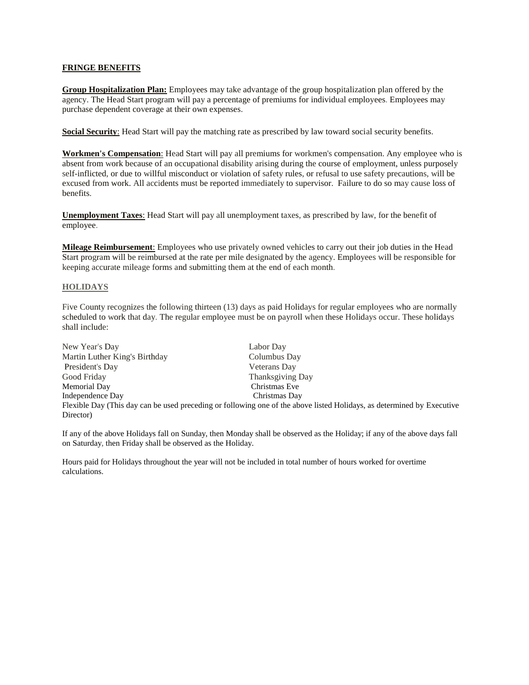## **FRINGE BENEFITS**

**Group Hospitalization Plan:** Employees may take advantage of the group hospitalization plan offered by the agency. The Head Start program will pay a percentage of premiums for individual employees. Employees may purchase dependent coverage at their own expenses.

**Social Security**: Head Start will pay the matching rate as prescribed by law toward social security benefits.

**Workmen's Compensation**: Head Start will pay all premiums for workmen's compensation. Any employee who is absent from work because of an occupational disability arising during the course of employment, unless purposely self-inflicted, or due to willful misconduct or violation of safety rules, or refusal to use safety precautions, will be excused from work. All accidents must be reported immediately to supervisor. Failure to do so may cause loss of benefits.

**Unemployment Taxes**: Head Start will pay all unemployment taxes, as prescribed by law, for the benefit of employee.

**Mileage Reimbursement**: Employees who use privately owned vehicles to carry out their job duties in the Head Start program will be reimbursed at the rate per mile designated by the agency. Employees will be responsible for keeping accurate mileage forms and submitting them at the end of each month.

#### **HOLIDAYS**

Five County recognizes the following thirteen (13) days as paid Holidays for regular employees who are normally scheduled to work that day. The regular employee must be on payroll when these Holidays occur. These holidays shall include:

| New Year's Day                                                                                                         | Labor Day        |  |
|------------------------------------------------------------------------------------------------------------------------|------------------|--|
| Martin Luther King's Birthday                                                                                          | Columbus Day     |  |
| President's Day                                                                                                        | Veterans Day     |  |
| Good Friday                                                                                                            | Thanksgiving Day |  |
| Memorial Day                                                                                                           | Christmas Eve    |  |
| Independence Day                                                                                                       | Christmas Day    |  |
| Flexible Day (This day can be used preceding or following one of the above listed Holidays, as determined by Executive |                  |  |
| Director)                                                                                                              |                  |  |

If any of the above Holidays fall on Sunday, then Monday shall be observed as the Holiday; if any of the above days fall on Saturday, then Friday shall be observed as the Holiday.

Hours paid for Holidays throughout the year will not be included in total number of hours worked for overtime calculations.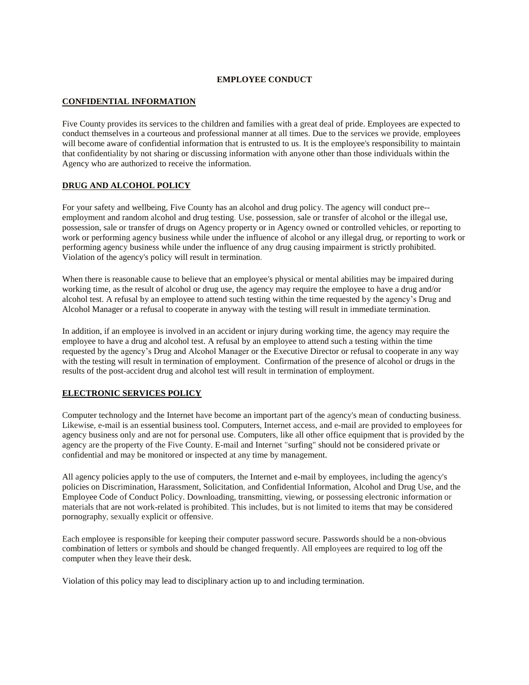## **EMPLOYEE CONDUCT**

# **CONFIDENTIAL INFORMATION**

Five County provides its services to the children and families with a great deal of pride. Employees are expected to conduct themselves in a courteous and professional manner at all times. Due to the services we provide, employees will become aware of confidential information that is entrusted to us. It is the employee's responsibility to maintain that confidentiality by not sharing or discussing information with anyone other than those individuals within the Agency who are authorized to receive the information.

#### **DRUG AND ALCOHOL POLICY**

For your safety and wellbeing, Five County has an alcohol and drug policy. The agency will conduct pre- employment and random alcohol and drug testing. Use, possession, sale or transfer of alcohol or the illegal use, possession, sale or transfer of drugs on Agency property or in Agency owned or controlled vehicles, or reporting to work or performing agency business while under the influence of alcohol or any illegal drug, or reporting to work or performing agency business while under the influence of any drug causing impairment is strictly prohibited. Violation of the agency's policy will result in termination.

When there is reasonable cause to believe that an employee's physical or mental abilities may be impaired during working time, as the result of alcohol or drug use, the agency may require the employee to have a drug and/or alcohol test. A refusal by an employee to attend such testing within the time requested by the agency's Drug and Alcohol Manager or a refusal to cooperate in anyway with the testing will result in immediate termination.

In addition, if an employee is involved in an accident or injury during working time, the agency may require the employee to have a drug and alcohol test. A refusal by an employee to attend such a testing within the time requested by the agency's Drug and Alcohol Manager or the Executive Director or refusal to cooperate in any way with the testing will result in termination of employment. Confirmation of the presence of alcohol or drugs in the results of the post-accident drug and alcohol test will result in termination of employment.

# **ELECTRONIC SERVICES POLICY**

Computer technology and the Internet have become an important part of the agency's mean of conducting business. Likewise, e-mail is an essential business tool. Computers, Internet access, and e-mail are provided to employees for agency business only and are not for personal use. Computers, like all other office equipment that is provided by the agency are the property of the Five County. E-mail and Internet "surfing" should not be considered private or confidential and may be monitored or inspected at any time by management.

All agency policies apply to the use of computers, the Internet and e-mail by employees, including the agency's policies on Discrimination, Harassment, Solicitation, and Confidential Information, Alcohol and Drug Use, and the Employee Code of Conduct Policy. Downloading, transmitting, viewing, or possessing electronic information or materials that are not work-related is prohibited. This includes, but is not limited to items that may be considered pornography, sexually explicit or offensive.

Each employee is responsible for keeping their computer password secure. Passwords should be a non-obvious combination of letters or symbols and should be changed frequently. All employees are required to log off the computer when they leave their desk.

Violation of this policy may lead to disciplinary action up to and including termination.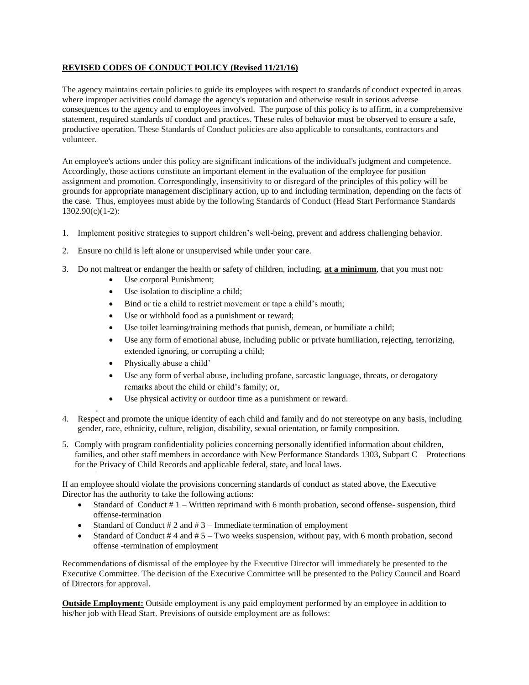# **REVISED CODES OF CONDUCT POLICY (Revised 11/21/16)**

The agency maintains certain policies to guide its employees with respect to standards of conduct expected in areas where improper activities could damage the agency's reputation and otherwise result in serious adverse consequences to the agency and to employees involved. The purpose of this policy is to affirm, in a comprehensive statement, required standards of conduct and practices. These rules of behavior must be observed to ensure a safe, productive operation. These Standards of Conduct policies are also applicable to consultants, contractors and volunteer.

An employee's actions under this policy are significant indications of the individual's judgment and competence. Accordingly, those actions constitute an important element in the evaluation of the employee for position assignment and promotion. Correspondingly, insensitivity to or disregard of the principles of this policy will be grounds for appropriate management disciplinary action, up to and including termination, depending on the facts of the case. Thus, employees must abide by the following Standards of Conduct (Head Start Performance Standards 1302.90(c)(1-2):

- 1. Implement positive strategies to support children's well-being, prevent and address challenging behavior.
- 2. Ensure no child is left alone or unsupervised while under your care.
- 3. Do not maltreat or endanger the health or safety of children, including, **at a minimum**, that you must not:
	- Use corporal Punishment;
	- Use isolation to discipline a child;
	- Bind or tie a child to restrict movement or tape a child's mouth;
	- Use or withhold food as a punishment or reward:
	- Use toilet learning/training methods that punish, demean, or humiliate a child;
	- Use any form of emotional abuse, including public or private humiliation, rejecting, terrorizing, extended ignoring, or corrupting a child;
	- Physically abuse a child'

.

- Use any form of verbal abuse, including profane, sarcastic language, threats, or derogatory remarks about the child or child's family; or,
- Use physical activity or outdoor time as a punishment or reward.
- 4. Respect and promote the unique identity of each child and family and do not stereotype on any basis, including gender, race, ethnicity, culture, religion, disability, sexual orientation, or family composition.
- 5. Comply with program confidentiality policies concerning personally identified information about children, families, and other staff members in accordance with New Performance Standards 1303, Subpart C – Protections for the Privacy of Child Records and applicable federal, state, and local laws.

If an employee should violate the provisions concerning standards of conduct as stated above, the Executive Director has the authority to take the following actions:

- Standard of Conduct # 1 Written reprimand with 6 month probation, second offense- suspension, third offense-termination
- Standard of Conduct  $# 2$  and  $# 3$  Immediate termination of employment
- Standard of Conduct  $#4$  and  $#5$  Two weeks suspension, without pay, with 6 month probation, second offense -termination of employment

Recommendations of dismissal of the employee by the Executive Director will immediately be presented to the Executive Committee. The decision of the Executive Committee will be presented to the Policy Council and Board of Directors for approval.

**Outside Employment:** Outside employment is any paid employment performed by an employee in addition to his/her job with Head Start. Previsions of outside employment are as follows: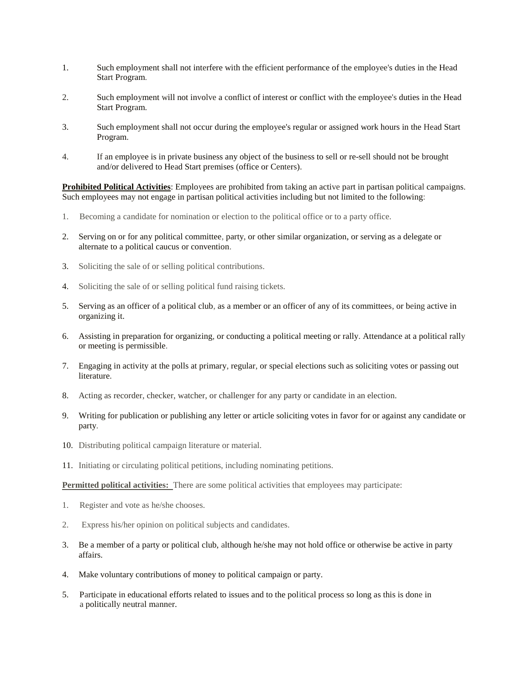- 1. Such employment shall not interfere with the efficient performance of the employee's duties in the Head Start Program.
- 2. Such employment will not involve a conflict of interest or conflict with the employee's duties in the Head Start Program.
- 3. Such employment shall not occur during the employee's regular or assigned work hours in the Head Start Program.
- 4. If an employee is in private business any object of the business to sell or re-sell should not be brought and/or delivered to Head Start premises (office or Centers).

**Prohibited Political Activities**: Employees are prohibited from taking an active part in partisan political campaigns. Such employees may not engage in partisan political activities including but not limited to the following:

- 1. Becoming a candidate for nomination or election to the political office or to a party office.
- 2. Serving on or for any political committee, party, or other similar organization, or serving as a delegate or alternate to a political caucus or convention.
- 3. Soliciting the sale of or selling political contributions.
- 4. Soliciting the sale of or selling political fund raising tickets.
- 5. Serving as an officer of a political club, as a member or an officer of any of its committees, or being active in organizing it.
- 6. Assisting in preparation for organizing, or conducting a political meeting or rally. Attendance at a political rally or meeting is permissible.
- 7. Engaging in activity at the polls at primary, regular, or special elections such as soliciting votes or passing out literature.
- 8. Acting as recorder, checker, watcher, or challenger for any party or candidate in an election.
- 9. Writing for publication or publishing any letter or article soliciting votes in favor for or against any candidate or party.
- 10. Distributing political campaign literature or material.
- 11. Initiating or circulating political petitions, including nominating petitions.

**Permitted political activities:** There are some political activities that employees may participate:

- 1. Register and vote as he/she chooses.
- 2. Express his/her opinion on political subjects and candidates.
- 3. Be a member of a party or political club, although he/she may not hold office or otherwise be active in party affairs.
- 4. Make voluntary contributions of money to political campaign or party.
- 5. Participate in educational efforts related to issues and to the political process so long as this is done in a politically neutral manner.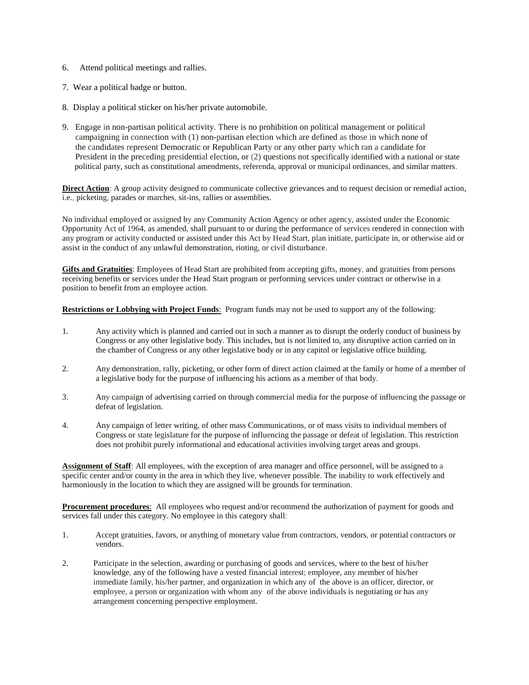- 6. Attend political meetings and rallies.
- 7. Wear a political badge or button.
- 8. Display a political sticker on his/her private automobile.
- 9. Engage in non-partisan political activity. There is no prohibition on political management or political campaigning in connection with (1) non-partisan election which are defined as those in which none of the candidates represent Democratic or Republican Party or any other party which ran a candidate for President in the preceding presidential election, or (2) questions not specifically identified with a national or state political party, such as constitutional amendments, referenda, approval or municipal ordinances, and similar matters.

**Direct Action**: A group activity designed to communicate collective grievances and to request decision or remedial action, i.e., picketing, parades or marches, sit-ins, rallies or assemblies.

No individual employed or assigned by any Community Action Agency or other agency, assisted under the Economic Opportunity Act of 1964, as amended, shall pursuant to or during the performance of services rendered in connection with any program or activity conducted or assisted under this Act by Head Start, plan initiate, participate in, or otherwise aid or assist in the conduct of any unlawful demonstration, rioting, or civil disturbance.

**Gifts and Gratuities**: Employees of Head Start are prohibited from accepting gifts, money, and gratuities from persons receiving benefits or services under the Head Start program or performing services under contract or otherwise in a position to benefit from an employee action.

**Restrictions or Lobbying with Project Funds**: Program funds may not be used to support any of the following:

- 1. Any activity which is planned and carried out in such a manner as to disrupt the orderly conduct of business by Congress or any other legislative body. This includes, but is not limited to, any disruptive action carried on in the chamber of Congress or any other legislative body or in any capitol or legislative office building.
- 2. Any demonstration, rally, picketing, or other form of direct action claimed at the family or home of a member of a legislative body for the purpose of influencing his actions as a member of that body.
- 3. Any campaign of advertising carried on through commercial media for the purpose of influencing the passage or defeat of legislation.
- 4. Any campaign of letter writing, of other mass Communications, or of mass visits to individual members of Congress or state legislature for the purpose of influencing the passage or defeat of legislation. This restriction does not prohibit purely informational and educational activities involving target areas and groups.

**Assignment of Staff**: All employees, with the exception of area manager and office personnel, will be assigned to a specific center and/or county in the area in which they live, whenever possible. The inability to work effectively and harmoniously in the location to which they are assigned will be grounds for termination.

**Procurement procedures**: All employees who request and/or recommend the authorization of payment for goods and services fall under this category. No employee in this category shall:

- 1. Accept gratuities, favors, or anything of monetary value from contractors, vendors, or potential contractors or vendors.
- 2. Participate in the selection, awarding or purchasing of goods and services, where to the best of his/her knowledge, any of the following have a vested financial interest; employee, any member of his/her immediate family, his/her partner, and organization in which any of the above is an officer, director, or employee, a person or organization with whom any· of the above individuals is negotiating or has any arrangement concerning perspective employment.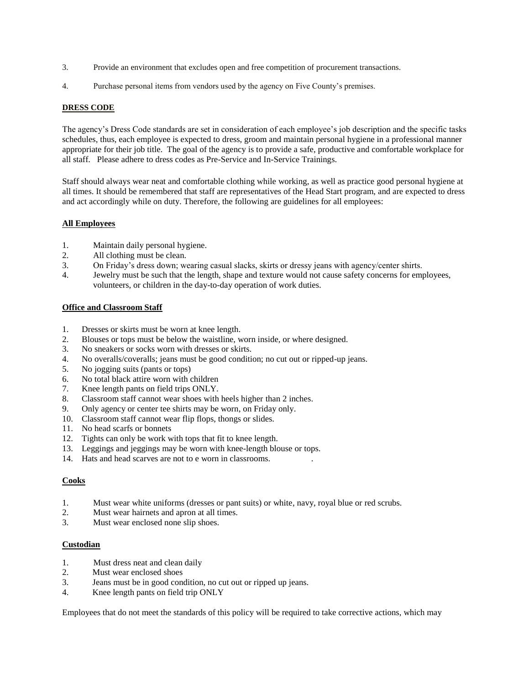- 3. Provide an environment that excludes open and free competition of procurement transactions.
- 4. Purchase personal items from vendors used by the agency on Five County's premises.

# **DRESS CODE**

The agency's Dress Code standards are set in consideration of each employee's job description and the specific tasks schedules, thus, each employee is expected to dress, groom and maintain personal hygiene in a professional manner appropriate for their job title. The goal of the agency is to provide a safe, productive and comfortable workplace for all staff. Please adhere to dress codes as Pre-Service and In-Service Trainings.

Staff should always wear neat and comfortable clothing while working, as well as practice good personal hygiene at all times. It should be remembered that staff are representatives of the Head Start program, and are expected to dress and act accordingly while on duty. Therefore, the following are guidelines for all employees:

# **All Employees**

- 1. Maintain daily personal hygiene.
- 2. All clothing must be clean.
- 3. On Friday's dress down; wearing casual slacks, skirts or dressy jeans with agency/center shirts.
- 4. Jewelry must be such that the length, shape and texture would not cause safety concerns for employees, volunteers, or children in the day-to-day operation of work duties.

#### **Office and Classroom Staff**

- 1. Dresses or skirts must be worn at knee length.
- 2. Blouses or tops must be below the waistline, worn inside, or where designed.
- 3. No sneakers or socks worn with dresses or skirts.
- 4. No overalls/coveralls; jeans must be good condition; no cut out or ripped-up jeans.
- 5. No jogging suits (pants or tops)
- 6. No total black attire worn with children
- 7. Knee length pants on field trips ONLY.
- 8. Classroom staff cannot wear shoes with heels higher than 2 inches.
- 9. Only agency or center tee shirts may be worn, on Friday only.
- 10. Classroom staff cannot wear flip flops, thongs or slides.
- 11. No head scarfs or bonnets
- 12. Tights can only be work with tops that fit to knee length.
- 13. Leggings and jeggings may be worn with knee-length blouse or tops.
- 14. Hats and head scarves are not to e worn in classrooms. .

# **Cooks**

- 1. Must wear white uniforms (dresses or pant suits) or white, navy, royal blue or red scrubs.<br>2. Must wear hairnets and apron at all times.
- Must wear hairnets and apron at all times.
- 3. Must wear enclosed none slip shoes.

#### **Custodian**

- 1. Must dress neat and clean daily
- 2. Must wear enclosed shoes
- 3. Jeans must be in good condition, no cut out or ripped up jeans.
- 4. Knee length pants on field trip ONLY

Employees that do not meet the standards of this policy will be required to take corrective actions, which may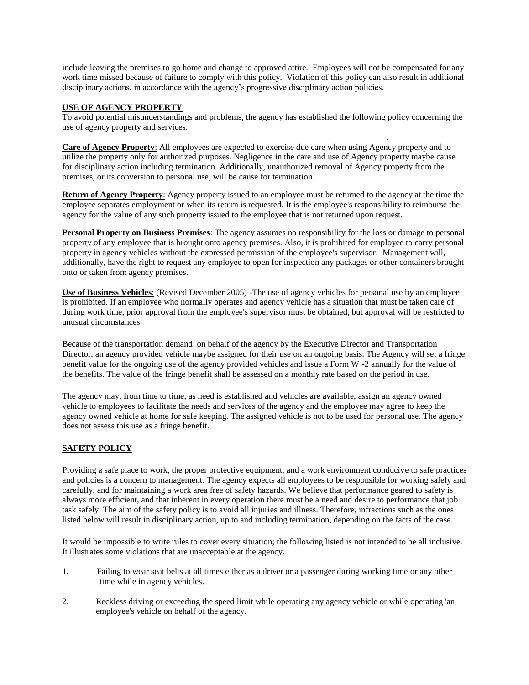include leaving the premises to go home and change to approved attire. Employees will not be compensated for any work time missed because of failure to comply with this policy. Violation of this policy can also result in additional disciplinary actions, in accordance with the agency's progressive disciplinary action policies.

# **USE OF AGENCY PROPERTY**

To avoid potential misunderstandings and problems, the agency has established the following policy concerning the use of agency property and services.

. **Care of Agency Property**: All employees are expected to exercise due care when using Agency property and to utilize the property only for authorized purposes. Negligence in the care and use of Agency property maybe cause for disciplinary action including termination. Additionally, unauthorized removal of Agency property from the premises, or its conversion to personal use, will be cause for termination.

**Return of Agency Property**: Agency property issued to an employee must be returned to the agency at the time the employee separates employment or when its return is requested. It is the employee's responsibility to reimburse the agency for the value of any such property issued to the employee that is not returned upon request.

**Personal Property on Business Premises**: The agency assumes no responsibility for the loss or damage to personal property of any employee that is brought onto agency premises. Also, it is prohibited for employee to carry personal property in agency vehicles without the expressed permission of the employee's supervisor. Management will, additionally, have the right to request any employee to open for inspection any packages or other containers brought onto or taken from agency premises.

**Use of Business Vehicles**: (Revised December 2005) -The use of agency vehicles for personal use by an employee is prohibited. If an employee who normally operates and agency vehicle has a situation that must be taken care of during work time, prior approval from the employee's supervisor must be obtained, but approval will be restricted to unusual circumstances.

Because of the transportation demand on behalf of the agency by the Executive Director and Transportation Director, an agency provided vehicle maybe assigned for their use on an ongoing basis. The Agency will set a fringe benefit value for the ongoing use of the agency provided vehicles and issue a Form W -2 annually for the value of the benefits. The value of the fringe benefit shall be assessed on a monthly rate based on the period in use.

The agency may, from time to time, as need is established and vehicles are available, assign an agency owned vehicle to employees to facilitate the needs and services of the agency and the employee may agree to keep the agency owned vehicle at home for safe keeping. The assigned vehicle is not to be used for personal use. The agency does not assess this use as a fringe benefit.

# **SAFETY POLICY**

Providing a safe place to work, the proper protective equipment, and a work environment conducive to safe practices and policies is a concern to management. The agency expects all employees to be responsible for working safely and carefully, and for maintaining a work area free of safety hazards. We believe that performance geared to safety is always more efficient, and that inherent in every operation there must be a need and desire to performance that job task safely. The aim of the safety policy is to avoid all injuries and illness. Therefore, infractions such as the ones listed below will result in disciplinary action, up to and including termination, depending on the facts of the case.

It would be impossible to write rules to cover every situation; the following listed is not intended to be all inclusive. It illustrates some violations that are unacceptable at the agency.

- 1. Failing to wear seat belts at all times either as a driver or a passenger during working time or any other time while in agency vehicles.
- 2. Reckless driving or exceeding the speed limit while operating any agency vehicle or while operating 'an employee's vehicle on behalf of the agency.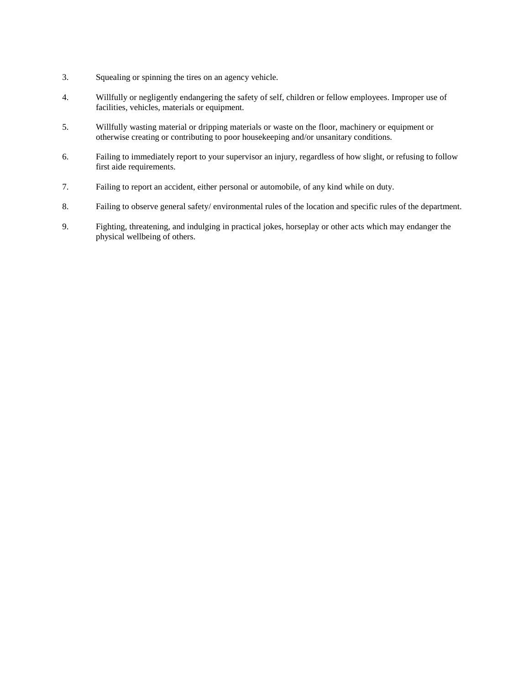- 3. Squealing or spinning the tires on an agency vehicle.
- 4. Willfully or negligently endangering the safety of self, children or fellow employees. Improper use of facilities, vehicles, materials or equipment.
- 5. Willfully wasting material or dripping materials or waste on the floor, machinery or equipment or otherwise creating or contributing to poor housekeeping and/or unsanitary conditions.
- 6. Failing to immediately report to your supervisor an injury, regardless of how slight, or refusing to follow first aide requirements.
- 7. Failing to report an accident, either personal or automobile, of any kind while on duty.
- 8. Failing to observe general safety/ environmental rules of the location and specific rules of the department.
- 9. Fighting, threatening, and indulging in practical jokes, horseplay or other acts which may endanger the physical wellbeing of others.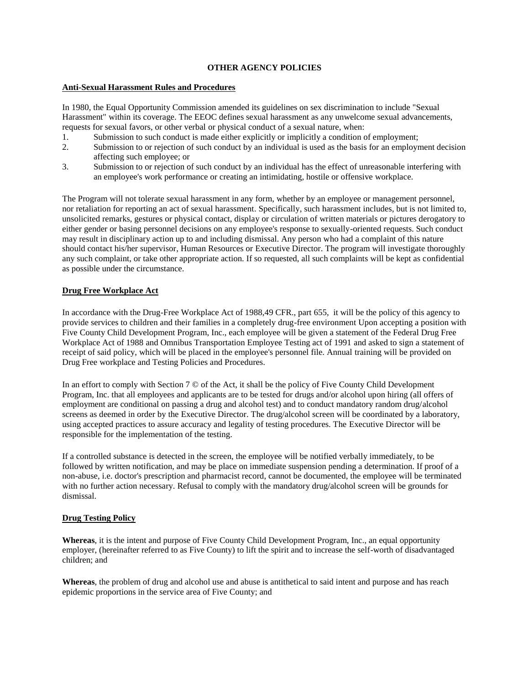#### **OTHER AGENCY POLICIES**

# **Anti-Sexual Harassment Rules and Procedures**

In 1980, the Equal Opportunity Commission amended its guidelines on sex discrimination to include "Sexual Harassment" within its coverage. The EEOC defines sexual harassment as any unwelcome sexual advancements, requests for sexual favors, or other verbal or physical conduct of a sexual nature, when:

- 1. Submission to such conduct is made either explicitly or implicitly a condition of employment;
- 2. Submission to or rejection of such conduct by an individual is used as the basis for an employment decision affecting such employee; or
- 3. Submission to or rejection of such conduct by an individual has the effect of unreasonable interfering with an employee's work performance or creating an intimidating, hostile or offensive workplace.

The Program will not tolerate sexual harassment in any form, whether by an employee or management personnel, nor retaliation for reporting an act of sexual harassment. Specifically, such harassment includes, but is not limited to, unsolicited remarks, gestures or physical contact, display or circulation of written materials or pictures derogatory to either gender or basing personnel decisions on any employee's response to sexually-oriented requests. Such conduct may result in disciplinary action up to and including dismissal. Any person who had a complaint of this nature should contact his/her supervisor, Human Resources or Executive Director. The program will investigate thoroughly any such complaint, or take other appropriate action. If so requested, all such complaints will be kept as confidential as possible under the circumstance.

#### **Drug Free Workplace Act**

In accordance with the Drug-Free Workplace Act of 1988,49 CFR., part 655, it will be the policy of this agency to provide services to children and their families in a completely drug-free environment Upon accepting a position with Five County Child Development Program, Inc., each employee will be given a statement of the Federal Drug Free Workplace Act of 1988 and Omnibus Transportation Employee Testing act of 1991 and asked to sign a statement of receipt of said policy, which will be placed in the employee's personnel file. Annual training will be provided on Drug Free workplace and Testing Policies and Procedures.

In an effort to comply with Section 7 © of the Act, it shall be the policy of Five County Child Development Program, Inc. that all employees and applicants are to be tested for drugs and/or alcohol upon hiring (all offers of employment are conditional on passing a drug and alcohol test) and to conduct mandatory random drug/alcohol screens as deemed in order by the Executive Director. The drug/alcohol screen will be coordinated by a laboratory, using accepted practices to assure accuracy and legality of testing procedures. The Executive Director will be responsible for the implementation of the testing.

If a controlled substance is detected in the screen, the employee will be notified verbally immediately, to be followed by written notification, and may be place on immediate suspension pending a determination. If proof of a non-abuse, i.e. doctor's prescription and pharmacist record, cannot be documented, the employee will be terminated with no further action necessary. Refusal to comply with the mandatory drug/alcohol screen will be grounds for dismissal.

#### **Drug Testing Policy**

**Whereas**, it is the intent and purpose of Five County Child Development Program, Inc., an equal opportunity employer, (hereinafter referred to as Five County) to lift the spirit and to increase the self-worth of disadvantaged children; and

**Whereas**, the problem of drug and alcohol use and abuse is antithetical to said intent and purpose and has reach epidemic proportions in the service area of Five County; and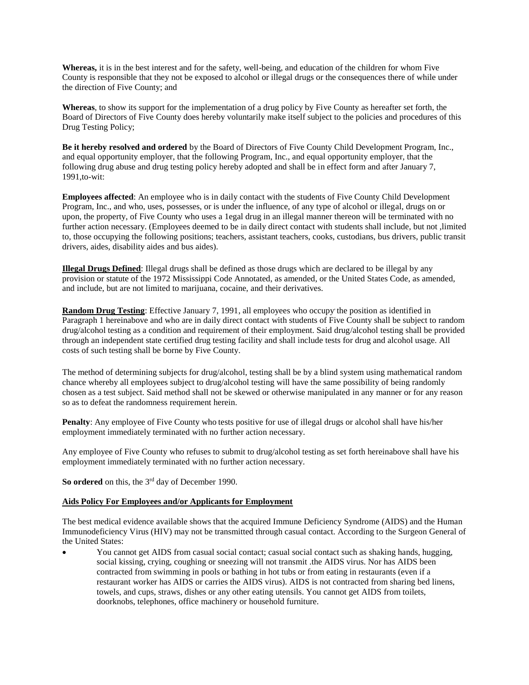**Whereas,** it is in the best interest and for the safety, well-being, and education of the children for whom Five County is responsible that they not be exposed to alcohol or illegal drugs or the consequences there of while under the direction of Five County; and

**Whereas**, to show its support for the implementation of a drug policy by Five County as hereafter set forth, the Board of Directors of Five County does hereby voluntarily make itself subject to the policies and procedures of this Drug Testing Policy;

**Be it hereby resolved and ordered** by the Board of Directors of Five County Child Development Program, Inc., and equal opportunity employer, that the following Program, Inc., and equal opportunity employer, that the following drug abuse and drug testing policy hereby adopted and shall be in effect form and after January 7, 1991,to-wit:

**Employees affected**: An employee who is in daily contact with the students of Five County Child Development Program, Inc., and who, uses, possesses, or is under the influence, of any type of alcohol or illegal, drugs on or upon, the property, of Five County who uses a 1egal drug in an illegal manner thereon will be terminated with no further action necessary. (Employees deemed to be in daily direct contact with students shall include, but not ,limited to, those occupying the following positions; teachers, assistant teachers, cooks, custodians, bus drivers, public transit drivers, aides, disability aides and bus aides).

**Illegal Drugs Defined**: Illegal drugs shall be defined as those drugs which are declared to be illegal by any provision or statute of the 1972 Mississippi Code Annotated, as amended, or the United States Code, as amended, and include, but are not limited to marijuana, cocaine, and their derivatives.

**Random Drug Testing**: Effective January 7, 1991, all employees who occupy' the position as identified in Paragraph 1 hereinabove and who are in daily direct contact with students of Five County shall be subject to random drug/alcohol testing as a condition and requirement of their employment. Said drug/alcohol testing shall be provided through an independent state certified drug testing facility and shall include tests for drug and alcohol usage. All costs of such testing shall be borne by Five County.

The method of determining subjects for drug/alcohol, testing shall be by a blind system using mathematical random chance whereby all employees subject to drug/alcohol testing will have the same possibility of being randomly chosen as a test subject. Said method shall not be skewed or otherwise manipulated in any manner or for any reason so as to defeat the randomness requirement herein.

**Penalty**: Any employee of Five County who tests positive for use of illegal drugs or alcohol shall have his/her employment immediately terminated with no further action necessary.

Any employee of Five County who refuses to submit to drug/alcohol testing as set forth hereinabove shall have his employment immediately terminated with no further action necessary.

So ordered on this, the 3<sup>rd</sup> day of December 1990.

#### **Aids Policy For Employees and/or Applicants for Employment**

The best medical evidence available shows that the acquired Immune Deficiency Syndrome (AIDS) and the Human Immunodeficiency Virus (HIV) may not be transmitted through casual contact. According to the Surgeon General of the United States:

• You cannot get AIDS from casual social contact; casual social contact such as shaking hands, hugging, social kissing, crying, coughing or sneezing will not transmit .the AIDS virus. Nor has AIDS been contracted from swimming in pools or bathing in hot tubs or from eating in restaurants (even if a restaurant worker has AIDS or carries the AIDS virus). AIDS is not contracted from sharing bed linens, towels, and cups, straws, dishes or any other eating utensils. You cannot get AIDS from toilets, doorknobs, telephones, office machinery or household furniture.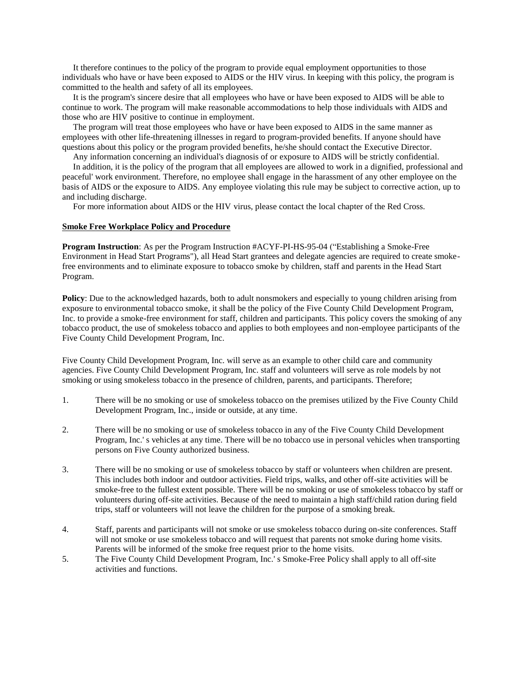It therefore continues to the policy of the program to provide equal employment opportunities to those individuals who have or have been exposed to AIDS or the HIV virus. In keeping with this policy, the program is committed to the health and safety of all its employees.

 It is the program's sincere desire that all employees who have or have been exposed to AIDS will be able to continue to work. The program will make reasonable accommodations to help those individuals with AIDS and those who are HIV positive to continue in employment.

 The program will treat those employees who have or have been exposed to AIDS in the same manner as employees with other life-threatening illnesses in regard to program-provided benefits. If anyone should have questions about this policy or the program provided benefits, he/she should contact the Executive Director.

Any information concerning an individual's diagnosis of or exposure to AIDS will be strictly confidential.

 In addition, it is the policy of the program that all employees are allowed to work in a dignified, professional and peaceful' work environment. Therefore, no employee shall engage in the harassment of any other employee on the basis of AIDS or the exposure to AIDS. Any employee violating this rule may be subject to corrective action, up to and including discharge.

For more information about AIDS or the HIV virus, please contact the local chapter of the Red Cross.

#### **Smoke Free Workplace Policy and Procedure**

**Program Instruction**: As per the Program Instruction #ACYF-PI-HS-95-04 ("Establishing a Smoke-Free Environment in Head Start Programs"), all Head Start grantees and delegate agencies are required to create smokefree environments and to eliminate exposure to tobacco smoke by children, staff and parents in the Head Start Program.

**Policy**: Due to the acknowledged hazards, both to adult nonsmokers and especially to young children arising from exposure to environmental tobacco smoke, it shall be the policy of the Five County Child Development Program, Inc. to provide a smoke-free environment for staff, children and participants. This policy covers the smoking of any tobacco product, the use of smokeless tobacco and applies to both employees and non-employee participants of the Five County Child Development Program, Inc.

Five County Child Development Program, Inc. will serve as an example to other child care and community agencies. Five County Child Development Program, Inc. staff and volunteers will serve as role models by not smoking or using smokeless tobacco in the presence of children, parents, and participants. Therefore;

- 1. There will be no smoking or use of smokeless tobacco on the premises utilized by the Five County Child Development Program, Inc., inside or outside, at any time.
- 2. There will be no smoking or use of smokeless tobacco in any of the Five County Child Development Program, Inc.' s vehicles at any time. There will be no tobacco use in personal vehicles when transporting persons on Five County authorized business.
- 3. There will be no smoking or use of smokeless tobacco by staff or volunteers when children are present. This includes both indoor and outdoor activities. Field trips, walks, and other off-site activities will be smoke-free to the fullest extent possible. There will be no smoking or use of smokeless tobacco by staff or volunteers during off-site activities. Because of the need to maintain a high staff/child ration during field trips, staff or volunteers will not leave the children for the purpose of a smoking break.
- 4. Staff, parents and participants will not smoke or use smokeless tobacco during on-site conferences. Staff will not smoke or use smokeless tobacco and will request that parents not smoke during home visits. Parents will be informed of the smoke free request prior to the home visits.
- 5. The Five County Child Development Program, Inc.' s Smoke-Free Policy shall apply to all off-site activities and functions.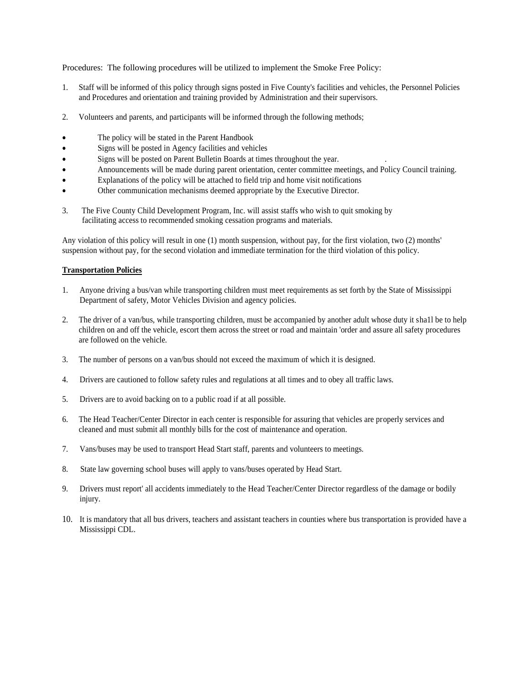Procedures: The following procedures will be utilized to implement the Smoke Free Policy:

- 1. Staff will be informed of this policy through signs posted in Five County's facilities and vehicles, the Personnel Policies and Procedures and orientation and training provided by Administration and their supervisors.
- 2. Volunteers and parents, and participants will be informed through the following methods;
- The policy will be stated in the Parent Handbook
- Signs will be posted in Agency facilities and vehicles
- Signs will be posted on Parent Bulletin Boards at times throughout the year.
- Announcements will be made during parent orientation, center committee meetings, and Policy Council training.
- Explanations of the policy will be attached to field trip and home visit notifications
- Other communication mechanisms deemed appropriate by the Executive Director.
- 3. The Five County Child Development Program, Inc. will assist staffs who wish to quit smoking by facilitating access to recommended smoking cessation programs and materials.

Any violation of this policy will result in one (1) month suspension, without pay, for the first violation, two (2) months' suspension without pay, for the second violation and immediate termination for the third violation of this policy.

#### **Transportation Policies**

- 1. Anyone driving a bus/van while transporting children must meet requirements as set forth by the State of Mississippi Department of safety, Motor Vehicles Division and agency policies.
- 2. The driver of a van/bus, while transporting children, must be accompanied by another adult whose duty it sha1l be to help children on and off the vehicle, escort them across the street or road and maintain 'order and assure all safety procedures are followed on the vehicle.
- 3. The number of persons on a van/bus should not exceed the maximum of which it is designed.
- 4. Drivers are cautioned to follow safety rules and regulations at all times and to obey all traffic laws.
- 5. Drivers are to avoid backing on to a public road if at all possible.
- 6. The Head Teacher/Center Director in each center is responsible for assuring that vehicles are properly services and cleaned and must submit all monthly bills for the cost of maintenance and operation.
- 7. Vans/buses may be used to transport Head Start staff, parents and volunteers to meetings.
- 8. State law governing school buses will apply to vans/buses operated by Head Start.
- 9. Drivers must report' all accidents immediately to the Head Teacher/Center Director regardless of the damage or bodily injury.
- 10. It is mandatory that all bus drivers, teachers and assistant teachers in counties where bus transportation is provided have a Mississippi CDL.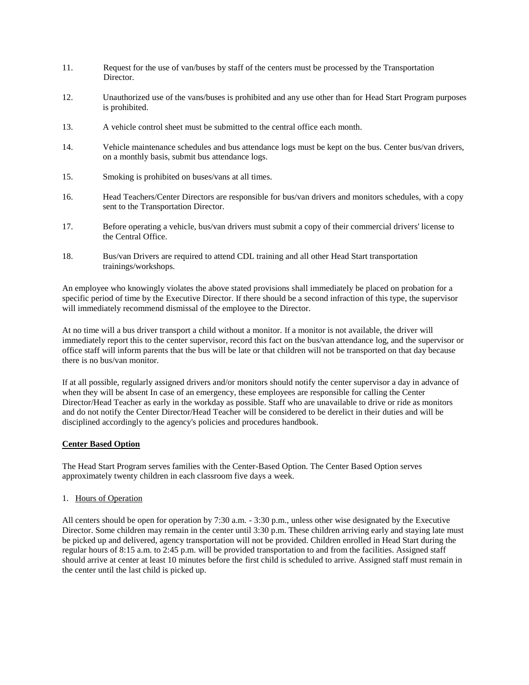- 11. Request for the use of van/buses by staff of the centers must be processed by the Transportation Director.
- 12. Unauthorized use of the vans/buses is prohibited and any use other than for Head Start Program purposes is prohibited.
- 13. A vehicle control sheet must be submitted to the central office each month.
- 14. Vehicle maintenance schedules and bus attendance logs must be kept on the bus. Center bus/van drivers, on a monthly basis, submit bus attendance logs.
- 15. Smoking is prohibited on buses/vans at all times.
- 16. Head Teachers/Center Directors are responsible for bus/van drivers and monitors schedules, with a copy sent to the Transportation Director.
- 17. Before operating a vehicle, bus/van drivers must submit a copy of their commercial drivers' license to the Central Office.
- 18. Bus/van Drivers are required to attend CDL training and all other Head Start transportation trainings/workshops.

An employee who knowingly violates the above stated provisions shall immediately be placed on probation for a specific period of time by the Executive Director. If there should be a second infraction of this type, the supervisor will immediately recommend dismissal of the employee to the Director.

At no time will a bus driver transport a child without a monitor. If a monitor is not available, the driver will immediately report this to the center supervisor, record this fact on the bus/van attendance log, and the supervisor or office staff will inform parents that the bus will be late or that children will not be transported on that day because there is no bus/van monitor.

If at all possible, regularly assigned drivers and/or monitors should notify the center supervisor a day in advance of when they will be absent In case of an emergency, these employees are responsible for calling the Center Director/Head Teacher as early in the workday as possible. Staff who are unavailable to drive or ride as monitors and do not notify the Center Director/Head Teacher will be considered to be derelict in their duties and will be disciplined accordingly to the agency's policies and procedures handbook.

# **Center Based Option**

The Head Start Program serves families with the Center-Based Option. The Center Based Option serves approximately twenty children in each classroom five days a week.

#### 1. Hours of Operation

All centers should be open for operation by 7:30 a.m. - 3:30 p.m., unless other wise designated by the Executive Director. Some children may remain in the center until 3:30 p.m. These children arriving early and staying late must be picked up and delivered, agency transportation will not be provided. Children enrolled in Head Start during the regular hours of 8:15 a.m. to 2:45 p.m. will be provided transportation to and from the facilities. Assigned staff should arrive at center at least 10 minutes before the first child is scheduled to arrive. Assigned staff must remain in the center until the last child is picked up.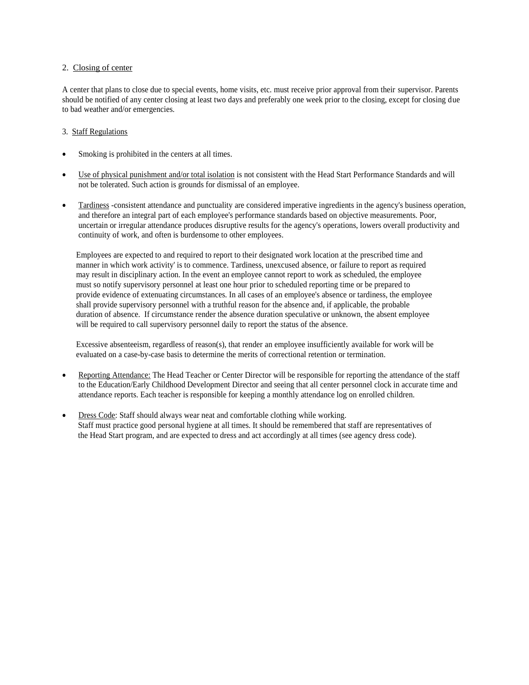#### 2. Closing of center

A center that plans to close due to special events, home visits, etc. must receive prior approval from their supervisor. Parents should be notified of any center closing at least two days and preferably one week prior to the closing, except for closing due to bad weather and/or emergencies.

## 3. Staff Regulations

- Smoking is prohibited in the centers at all times.
- Use of physical punishment and/or total isolation is not consistent with the Head Start Performance Standards and will not be tolerated. Such action is grounds for dismissal of an employee.
- Tardiness -consistent attendance and punctuality are considered imperative ingredients in the agency's business operation, and therefore an integral part of each employee's performance standards based on objective measurements. Poor, uncertain or irregular attendance produces disruptive results for the agency's operations, lowers overall productivity and continuity of work, and often is burdensome to other employees.

 Employees are expected to and required to report to their designated work location at the prescribed time and manner in which work activity' is to commence. Tardiness, unexcused absence, or failure to report as required may result in disciplinary action. In the event an employee cannot report to work as scheduled, the employee must so notify supervisory personnel at least one hour prior to scheduled reporting time or be prepared to provide evidence of extenuating circumstances. In all cases of an employee's absence or tardiness, the employee shall provide supervisory personnel with a truthful reason for the absence and, if applicable, the probable duration of absence. If circumstance render the absence duration speculative or unknown, the absent employee will be required to call supervisory personnel daily to report the status of the absence.

 Excessive absenteeism, regardless of reason(s), that render an employee insufficiently available for work will be evaluated on a case-by-case basis to determine the merits of correctional retention or termination.

- Reporting Attendance: The Head Teacher or Center Director will be responsible for reporting the attendance of the staff to the Education/Early Childhood Development Director and seeing that all center personnel clock in accurate time and attendance reports. Each teacher is responsible for keeping a monthly attendance log on enrolled children.
- Dress Code: Staff should always wear neat and comfortable clothing while working. Staff must practice good personal hygiene at all times. It should be remembered that staff are representatives of the Head Start program, and are expected to dress and act accordingly at all times (see agency dress code).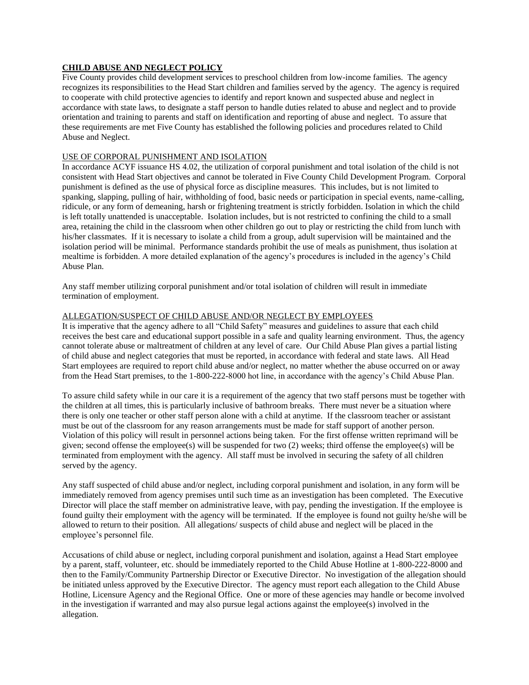# **CHILD ABUSE AND NEGLECT POLICY**

Five County provides child development services to preschool children from low-income families. The agency recognizes its responsibilities to the Head Start children and families served by the agency. The agency is required to cooperate with child protective agencies to identify and report known and suspected abuse and neglect in accordance with state laws, to designate a staff person to handle duties related to abuse and neglect and to provide orientation and training to parents and staff on identification and reporting of abuse and neglect. To assure that these requirements are met Five County has established the following policies and procedures related to Child Abuse and Neglect.

# USE OF CORPORAL PUNISHMENT AND ISOLATION

In accordance ACYF issuance HS 4.02, the utilization of corporal punishment and total isolation of the child is not consistent with Head Start objectives and cannot be tolerated in Five County Child Development Program. Corporal punishment is defined as the use of physical force as discipline measures. This includes, but is not limited to spanking, slapping, pulling of hair, withholding of food, basic needs or participation in special events, name-calling, ridicule, or any form of demeaning, harsh or frightening treatment is strictly forbidden. Isolation in which the child is left totally unattended is unacceptable. Isolation includes, but is not restricted to confining the child to a small area, retaining the child in the classroom when other children go out to play or restricting the child from lunch with his/her classmates. If it is necessary to isolate a child from a group, adult supervision will be maintained and the isolation period will be minimal. Performance standards prohibit the use of meals as punishment, thus isolation at mealtime is forbidden. A more detailed explanation of the agency's procedures is included in the agency's Child Abuse Plan.

Any staff member utilizing corporal punishment and/or total isolation of children will result in immediate termination of employment.

#### ALLEGATION/SUSPECT OF CHILD ABUSE AND/OR NEGLECT BY EMPLOYEES

It is imperative that the agency adhere to all "Child Safety" measures and guidelines to assure that each child receives the best care and educational support possible in a safe and quality learning environment. Thus, the agency cannot tolerate abuse or maltreatment of children at any level of care. Our Child Abuse Plan gives a partial listing of child abuse and neglect categories that must be reported, in accordance with federal and state laws. All Head Start employees are required to report child abuse and/or neglect, no matter whether the abuse occurred on or away from the Head Start premises, to the 1-800-222-8000 hot line, in accordance with the agency's Child Abuse Plan.

To assure child safety while in our care it is a requirement of the agency that two staff persons must be together with the children at all times, this is particularly inclusive of bathroom breaks. There must never be a situation where there is only one teacher or other staff person alone with a child at anytime. If the classroom teacher or assistant must be out of the classroom for any reason arrangements must be made for staff support of another person. Violation of this policy will result in personnel actions being taken. For the first offense written reprimand will be given; second offense the employee(s) will be suspended for two (2) weeks; third offense the employee(s) will be terminated from employment with the agency. All staff must be involved in securing the safety of all children served by the agency.

Any staff suspected of child abuse and/or neglect, including corporal punishment and isolation, in any form will be immediately removed from agency premises until such time as an investigation has been completed. The Executive Director will place the staff member on administrative leave, with pay, pending the investigation. If the employee is found guilty their employment with the agency will be terminated. If the employee is found not guilty he/she will be allowed to return to their position. All allegations/ suspects of child abuse and neglect will be placed in the employee's personnel file.

Accusations of child abuse or neglect, including corporal punishment and isolation, against a Head Start employee by a parent, staff, volunteer, etc. should be immediately reported to the Child Abuse Hotline at 1-800-222-8000 and then to the Family/Community Partnership Director or Executive Director. No investigation of the allegation should be initiated unless approved by the Executive Director. The agency must report each allegation to the Child Abuse Hotline, Licensure Agency and the Regional Office. One or more of these agencies may handle or become involved in the investigation if warranted and may also pursue legal actions against the employee(s) involved in the allegation.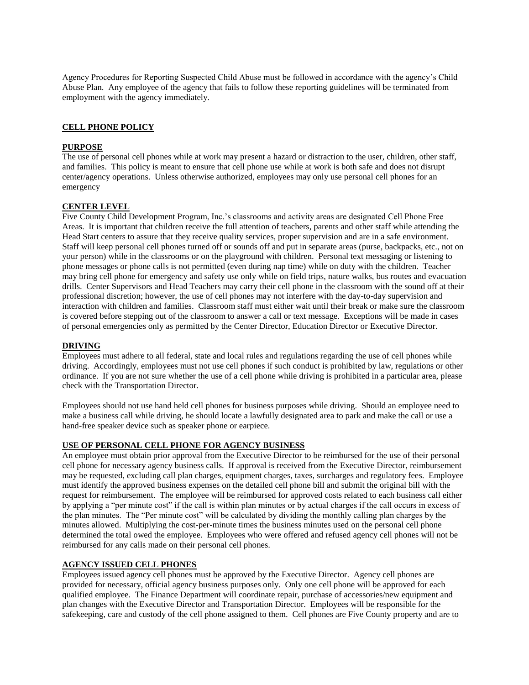Agency Procedures for Reporting Suspected Child Abuse must be followed in accordance with the agency's Child Abuse Plan. Any employee of the agency that fails to follow these reporting guidelines will be terminated from employment with the agency immediately.

#### **CELL PHONE POLICY**

#### **PURPOSE**

The use of personal cell phones while at work may present a hazard or distraction to the user, children, other staff, and families. This policy is meant to ensure that cell phone use while at work is both safe and does not disrupt center/agency operations. Unless otherwise authorized, employees may only use personal cell phones for an emergency

#### **CENTER LEVEL**

Five County Child Development Program, Inc.'s classrooms and activity areas are designated Cell Phone Free Areas. It is important that children receive the full attention of teachers, parents and other staff while attending the Head Start centers to assure that they receive quality services, proper supervision and are in a safe environment. Staff will keep personal cell phones turned off or sounds off and put in separate areas (purse, backpacks, etc., not on your person) while in the classrooms or on the playground with children. Personal text messaging or listening to phone messages or phone calls is not permitted (even during nap time) while on duty with the children. Teacher may bring cell phone for emergency and safety use only while on field trips, nature walks, bus routes and evacuation drills. Center Supervisors and Head Teachers may carry their cell phone in the classroom with the sound off at their professional discretion; however, the use of cell phones may not interfere with the day-to-day supervision and interaction with children and families. Classroom staff must either wait until their break or make sure the classroom is covered before stepping out of the classroom to answer a call or text message. Exceptions will be made in cases of personal emergencies only as permitted by the Center Director, Education Director or Executive Director.

## **DRIVING**

Employees must adhere to all federal, state and local rules and regulations regarding the use of cell phones while driving. Accordingly, employees must not use cell phones if such conduct is prohibited by law, regulations or other ordinance. If you are not sure whether the use of a cell phone while driving is prohibited in a particular area, please check with the Transportation Director.

Employees should not use hand held cell phones for business purposes while driving. Should an employee need to make a business call while driving, he should locate a lawfully designated area to park and make the call or use a hand-free speaker device such as speaker phone or earpiece.

#### **USE OF PERSONAL CELL PHONE FOR AGENCY BUSINESS**

An employee must obtain prior approval from the Executive Director to be reimbursed for the use of their personal cell phone for necessary agency business calls. If approval is received from the Executive Director, reimbursement may be requested, excluding call plan charges, equipment charges, taxes, surcharges and regulatory fees. Employee must identify the approved business expenses on the detailed cell phone bill and submit the original bill with the request for reimbursement. The employee will be reimbursed for approved costs related to each business call either by applying a "per minute cost" if the call is within plan minutes or by actual charges if the call occurs in excess of the plan minutes. The "Per minute cost" will be calculated by dividing the monthly calling plan charges by the minutes allowed. Multiplying the cost-per-minute times the business minutes used on the personal cell phone determined the total owed the employee. Employees who were offered and refused agency cell phones will not be reimbursed for any calls made on their personal cell phones.

#### **AGENCY ISSUED CELL PHONES**

Employees issued agency cell phones must be approved by the Executive Director. Agency cell phones are provided for necessary, official agency business purposes only. Only one cell phone will be approved for each qualified employee. The Finance Department will coordinate repair, purchase of accessories/new equipment and plan changes with the Executive Director and Transportation Director. Employees will be responsible for the safekeeping, care and custody of the cell phone assigned to them. Cell phones are Five County property and are to